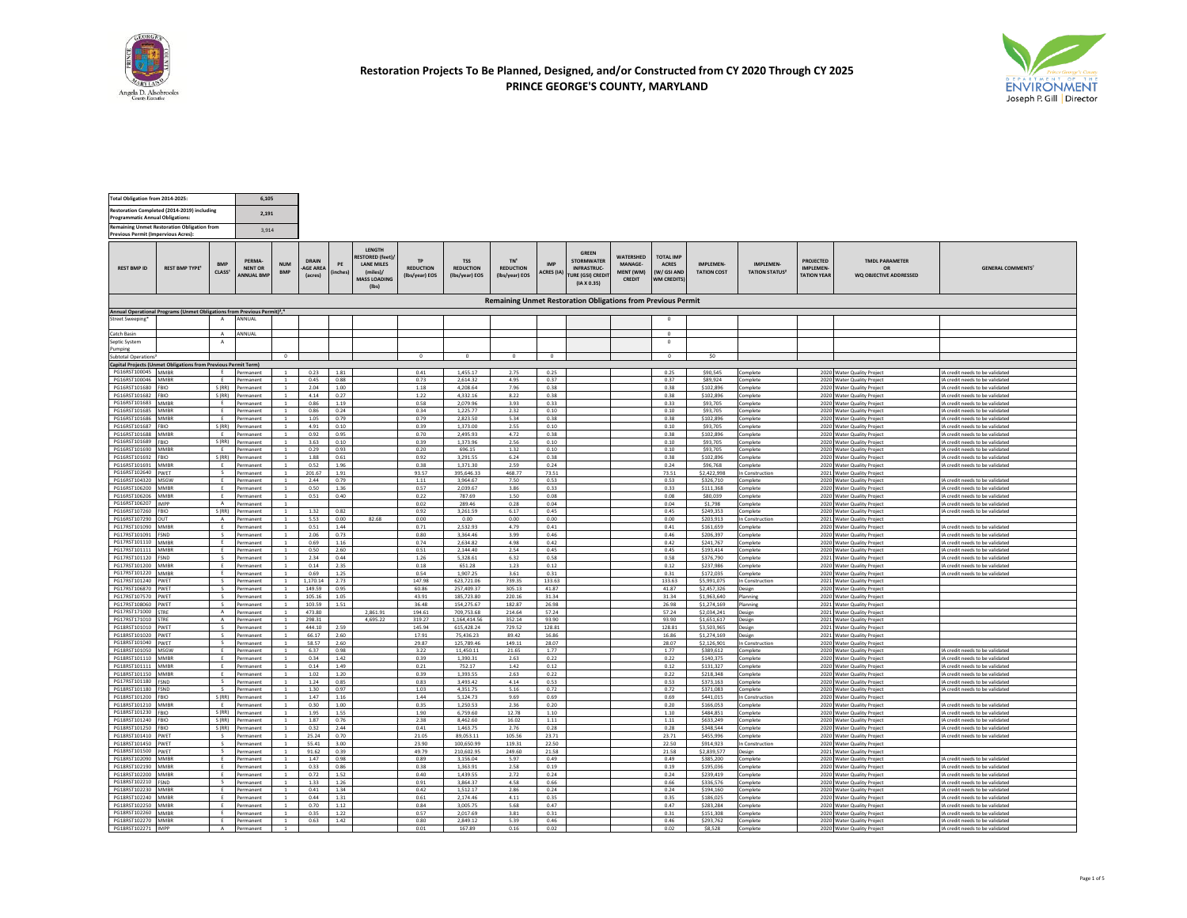



| Total Obligation from 2014-2025:                                                          |                                                                                                  |                               | 6.105                                         |                                  |                              |                      |                                                                                            |                                                 |                                                  |                                                       |                                 |                                                                                          |                                                           |                                                                          |                                       |                                          |                                                           |                                                          |                                                                    |
|-------------------------------------------------------------------------------------------|--------------------------------------------------------------------------------------------------|-------------------------------|-----------------------------------------------|----------------------------------|------------------------------|----------------------|--------------------------------------------------------------------------------------------|-------------------------------------------------|--------------------------------------------------|-------------------------------------------------------|---------------------------------|------------------------------------------------------------------------------------------|-----------------------------------------------------------|--------------------------------------------------------------------------|---------------------------------------|------------------------------------------|-----------------------------------------------------------|----------------------------------------------------------|--------------------------------------------------------------------|
| Restoration Completed (2014-2019) including<br><b>Programmatic Annual Obligations:</b>    |                                                                                                  |                               | 2.191                                         |                                  |                              |                      |                                                                                            |                                                 |                                                  |                                                       |                                 |                                                                                          |                                                           |                                                                          |                                       |                                          |                                                           |                                                          |                                                                    |
| <b>Remaining Unmet Restoration Obligation from</b><br>Previous Permit (Impervious Acres): |                                                                                                  |                               | 3,914                                         |                                  |                              |                      |                                                                                            |                                                 |                                                  |                                                       |                                 |                                                                                          |                                                           |                                                                          |                                       |                                          |                                                           |                                                          |                                                                    |
| <b>REST BMP ID</b>                                                                        | <b>REST BMP TYPE<sup>1</sup></b>                                                                 | CIASS <sup>3</sup>            | PFRMA-<br><b>NENT OR</b><br><b>ANNUAL BMP</b> | <b>NUM</b><br><b>RMP</b>         | DRAIN<br>AGE AREA<br>(acres) | PE<br><b>linches</b> | LENGTH<br>RESTORED (feet)<br><b>LANE MILES</b><br>(miles)/<br><b>MASS LOADING</b><br>(lbs) | <b>TD</b><br><b>REDUCTION</b><br>(Ibs/year) EOS | <b>TSS</b><br><b>REDUCTION</b><br>(Ibs/year) EOS | TN <sup>6</sup><br><b>REDUCTION</b><br>(Ibs/year) EOS | <b>IMP</b><br><b>ACRES (IA)</b> | <b>GREEN</b><br><b>STORMWATER</b><br><b>INFRASTRUC-</b><br>URE (GSI) CREDI<br>(IAX 0.35) | <b>WATERSHED</b><br><b>MANAGE-</b><br>MFNT (WM)<br>CREDIT | <b>TOTAL IMP</b><br><b>ACRES</b><br><b>W/GSLAND</b><br><b>NM CREDITS</b> | <b>IMPLEMEN</b><br><b>TATION COST</b> | <b>IMPLEMEN</b><br><b>TATION STATUS?</b> | <b>PROJECTED</b><br><b>IMPLEMEN</b><br><b>TATION YEAR</b> | <b>TMDL PARAMETER</b><br>OR<br>WO OBJECTIVE ADDRESSED    | <b>GENERAL COMMENTS'</b>                                           |
|                                                                                           |                                                                                                  |                               |                                               |                                  |                              |                      |                                                                                            |                                                 |                                                  |                                                       |                                 | <b>Remaining Unmet Restoration Obligations from Previous Permit</b>                      |                                                           |                                                                          |                                       |                                          |                                                           |                                                          |                                                                    |
|                                                                                           | Annual Operational Programs (Unmet Obligations from Previous Permit) <sup>8</sup> , <sup>4</sup> | A                             | ANNUAL                                        |                                  |                              |                      |                                                                                            |                                                 |                                                  |                                                       |                                 |                                                                                          |                                                           | $^{\circ}$                                                               |                                       |                                          |                                                           |                                                          |                                                                    |
| Street Sweeping*                                                                          |                                                                                                  |                               |                                               |                                  |                              |                      |                                                                                            |                                                 |                                                  |                                                       |                                 |                                                                                          |                                                           |                                                                          |                                       |                                          |                                                           |                                                          |                                                                    |
| Catch Basin<br>Septic System                                                              |                                                                                                  | $\Lambda$<br>$\mathsf{A}$     | ANNUAL                                        |                                  |                              |                      |                                                                                            |                                                 |                                                  |                                                       |                                 |                                                                                          |                                                           | $\circ$<br>$\Omega$                                                      |                                       |                                          |                                                           |                                                          |                                                                    |
| Pumping<br>Subtotal Operations <sup>8</sup>                                               |                                                                                                  |                               |                                               |                                  |                              |                      |                                                                                            |                                                 |                                                  |                                                       |                                 |                                                                                          |                                                           |                                                                          |                                       |                                          |                                                           |                                                          |                                                                    |
|                                                                                           | Capital Projects (Unmet Obligations from Previous Permit Term)                                   |                               |                                               | $\overline{0}$                   |                              |                      |                                                                                            | $\mathbf{0}$                                    | $\overline{0}$                                   | $\circ$                                               | $\overline{0}$                  |                                                                                          |                                                           | $\overline{0}$                                                           | 50                                    |                                          |                                                           |                                                          |                                                                    |
| PG16RST100045 MMBR                                                                        |                                                                                                  |                               | Permanent                                     |                                  | 0.23                         | 1.81                 |                                                                                            | 0.41                                            | 1,455.17                                         | 2.75                                                  | 0.25                            |                                                                                          |                                                           | 0.25                                                                     | \$90,545                              | Complete                                 |                                                           | 2020 Water Quality Project                               | IA credit needs to be validated                                    |
| PG16RST100046 MMRR                                                                        |                                                                                                  | F                             | Permanent                                     | $\mathbf{1}$                     | 0.45                         | 0.88                 |                                                                                            | 0.73                                            | 2 614 32                                         | 4.95                                                  | 0.37                            |                                                                                          |                                                           | 0.37                                                                     | \$89,924                              | Complete                                 |                                                           | 2020 Water Quality Project                               | IA credit needs to be validated                                    |
| PG16RST101680 FRIO<br>PG16RST101682 FBIO                                                  |                                                                                                  |                               | S (RR) Permanent<br>S (RR) Permanent          | <sup>1</sup>                     | 2.04<br>4.14                 | 1.00<br>0.27         |                                                                                            | 1.18<br>1.22                                    | 4,208.64<br>4,332.16                             | 7.96<br>8.22                                          | 0.38<br>0.38                    |                                                                                          |                                                           | 0.38<br>0.38                                                             | \$102,896<br>\$102,896                | Complete<br>Complete                     |                                                           | 2020 Water Quality Project<br>2020 Water Quality Project | IA credit needs to be validated<br>IA credit needs to be validated |
| PG16RST101683 MMBR                                                                        |                                                                                                  | E                             | Permanent                                     | $\mathbf{1}$                     | 0.86                         | 1.19                 |                                                                                            | 0.58                                            | 2,079.96                                         | 3.93                                                  | 0.33                            |                                                                                          |                                                           | 0.33                                                                     | \$93,705                              | Complete                                 |                                                           | 2020 Water Quality Project                               | IA credit needs to be validated                                    |
| PG16RST101685 MMBR                                                                        |                                                                                                  | F.                            | Permanent                                     |                                  | 0.86                         | 0.24                 |                                                                                            | 0.34                                            | 1,225.77                                         | 2.32                                                  | 0.10                            |                                                                                          |                                                           | 0.10                                                                     | \$93,705                              | Complete                                 |                                                           | 2020 Water Quality Project                               | IA credit needs to be validated                                    |
| PG16RST101686 MMRR<br>PG16RST101687 FBIO                                                  |                                                                                                  |                               | Permanent<br>S (RR) Permanent                 | $\overline{1}$<br>$\mathbf{1}$   | 1.05<br>4.91                 | 0.79<br>0.10         |                                                                                            | 0.79<br>0.39                                    | 2,823.50<br>1,373.00                             | 5.34<br>2.55                                          | 0.38<br>0.10                    |                                                                                          |                                                           | 0.38<br>0.10                                                             | \$102,896<br>\$93,705                 | Complete<br>Complete                     |                                                           | 2020 Water Quality Project<br>2020 Water Quality Project | IA credit needs to be validated<br>IA credit needs to be validated |
| PG16RST101688 MMBR                                                                        |                                                                                                  |                               | E Permanent                                   | $\overline{1}$                   | 0.92                         | 0.95                 |                                                                                            | 0.70                                            | 2,495.93                                         | 4.72                                                  | 0.38                            |                                                                                          |                                                           | 0.38                                                                     | \$102,896                             | Complete                                 |                                                           | 2020 Water Quality Project                               | IA credit needs to be validated                                    |
| PG16RST101689 FBIO                                                                        |                                                                                                  | E                             | S (RR) Permanent                              | $\mathbf{1}$                     | 3.63                         | 0.10                 |                                                                                            | 0.39                                            | 1,373.96                                         | 2.56                                                  | 0.10                            |                                                                                          |                                                           | 0.10                                                                     | \$93,705                              | Complete                                 |                                                           | 2020 Water Quality Project                               | IA credit needs to be validated                                    |
| PG16RST101690 MMBR<br>PG16RST101692 FBIO                                                  |                                                                                                  | S(RR)                         | Permanent<br>Permanent                        | $\mathbf{1}$<br>$\mathbf{1}$     | 0.29<br>1.88                 | 0.93<br>0.61         |                                                                                            | 0.20<br>0.92                                    | 696.15<br>3,291.55                               | 1.32<br>6.24                                          | 0.10<br>0.38                    |                                                                                          |                                                           | 0.10<br>0.38                                                             | \$93,705<br>\$102,896                 | Complete<br>Complete                     |                                                           | 2020 Water Quality Project<br>2020 Water Quality Project | IA credit needs to be validated<br>IA credit needs to be validated |
| PG16RST101691 MMBR                                                                        |                                                                                                  | F                             | Permanent                                     | $\overline{1}$                   | 0.52                         | 1.96                 |                                                                                            | 0.38                                            | 1.371.30                                         | 259                                                   | 0.24                            |                                                                                          |                                                           | 0.24                                                                     | \$96,768                              | Complete                                 |                                                           | 2020 Water Quality Project                               | IA credit needs to be validated                                    |
| PG16RST102640 PWET                                                                        |                                                                                                  | E                             | Permanent                                     |                                  | 201.67                       | 1.91                 |                                                                                            | 93.57                                           | 395,646.33                                       | 468.77                                                | 73.51                           |                                                                                          |                                                           | 73.51                                                                    | \$2,422,998                           | In Construction                          |                                                           | 2021 Water Quality Project                               |                                                                    |
| PG16RST104320 MSGW<br>PG16RST106200 MMRR                                                  |                                                                                                  | E                             | Permanent<br>Permanent                        | $\,$ 1<br>$\overline{1}$         | 2.44<br>0.50                 | 0.79<br>1.36         |                                                                                            | 1.11<br>0.57                                    | 3,964.67<br>2,039.67                             | 7.50<br>3.86                                          | 0.53<br>0.33                    |                                                                                          |                                                           | 0.53<br>0.33                                                             | \$326,710<br>\$111,368                | Complete<br>Complete                     |                                                           | 2020 Water Quality Project<br>2020 Water Quality Project | IA credit needs to be validated<br>IA credit needs to be validated |
| PG16RST106206 MMBR                                                                        |                                                                                                  |                               | Permanent                                     |                                  | 0.51                         | 0.40                 |                                                                                            | 0.22                                            | 787.69                                           | 1.50                                                  | 0.08                            |                                                                                          |                                                           | 0.08                                                                     | \$80,039                              | Complete                                 |                                                           | 2020 Water Quality Project                               | IA credit needs to be validated                                    |
| PG16RST106207 IMPP<br>PG16RST107260 FBIO                                                  |                                                                                                  | $\Lambda$                     | Permanent<br>S (RR) Permanent                 | $\mathbf{1}$                     | 132                          | 0.82                 |                                                                                            | 0.02<br>0.92                                    | 289.46<br>3,261.59                               | 0.28<br>6.17                                          | 0.04<br>0.45                    |                                                                                          |                                                           | 0.04<br>0.45                                                             | \$1,798<br>\$249.353                  | Complete<br>Complete                     |                                                           | 2020 Water Quality Project                               | IA credit needs to be validated<br>IA credit needs to be validated |
| PG16RST107290 OUT                                                                         |                                                                                                  |                               | A Permanent                                   |                                  | 5.53                         | 0.00                 | 82.68                                                                                      | 0.00                                            | 0.00                                             | 0.00                                                  | 0.00                            |                                                                                          |                                                           | 0.00                                                                     | \$203,913                             | In Construction                          |                                                           | 2020 Water Quality Project<br>2021 Water Quality Project |                                                                    |
| PG17RST101090 MMBR                                                                        |                                                                                                  | E                             | Permanent                                     | <sup>1</sup>                     | 0.51                         | 1.44                 |                                                                                            | 0.71                                            | 2,532.93                                         | 4.79                                                  | 0.41                            |                                                                                          |                                                           | 0.41                                                                     | \$161,659                             | Complete                                 |                                                           | 2020 Water Quality Project                               | IA credit needs to be validated                                    |
| PG17RST101091 FSND<br>PG17RST101110 MMBR                                                  |                                                                                                  | $\mathcal{S}$<br>F.           | Permanent<br>Permanent                        | $\mathbf{1}$<br>$\mathbf{1}$     | 2.06<br>0.69                 | 0.73<br>1.16         |                                                                                            | 0.80<br>0.74                                    | 3.364.46<br>2,634.82                             | 3.99<br>4.98                                          | 0.46<br>0.42                    |                                                                                          |                                                           | 0.46<br>0.42                                                             | \$206.397<br>\$241.767                | Complete<br>Complete                     |                                                           | 2020 Water Quality Project<br>2020 Water Quality Project | IA credit needs to be validated<br>IA credit needs to be validated |
| PG17RST101111 MMBR                                                                        |                                                                                                  | F                             | Permanent                                     | $\overline{1}$                   | 0.50                         | 2.60                 |                                                                                            | 0.51                                            | 2.144.40                                         | 2.54                                                  | 0.45                            |                                                                                          |                                                           | 0.45                                                                     | \$193,414                             | Complete                                 |                                                           | 2020 Water Quality Project                               | IA credit needs to be validated                                    |
| PG17RST101120 FSND                                                                        |                                                                                                  | $\mathsf{s}$                  | Permanent                                     | $\mathbf{1}$                     | 2.34                         | 0.44                 |                                                                                            | 1.26                                            | 5,328.61                                         | 6.32                                                  | 0.58                            |                                                                                          |                                                           | 0.58                                                                     | \$376,790                             | Complete                                 |                                                           | 2021 Water Quality Project                               | IA credit needs to be validated                                    |
| PG17RST101200 MMBR<br>PG17RST101220 MMRR                                                  |                                                                                                  | E<br>F                        | Permanent<br>Permanent                        | $\mathbf{1}$<br>$\overline{1}$   | 0.14<br>0.69                 | 2.35<br>1.25         |                                                                                            | 0.18<br>0.54                                    | 651.28<br>190725                                 | 1.23<br>3.61                                          | 0.12<br>0.31                    |                                                                                          |                                                           | 0.12<br>0.31                                                             | \$237,986<br>\$172,035                | Complete<br>Complete                     |                                                           | 2020 Water Quality Project<br>2020 Water Quality Project | IA credit needs to be validated<br>IA credit needs to be validated |
| PG17RST101240 PWET                                                                        |                                                                                                  |                               | Permanent                                     |                                  | 1,170.14                     | 2.73                 |                                                                                            | 147.98                                          | 623.721.06                                       | 739.35                                                | 133.63                          |                                                                                          |                                                           | 133.63                                                                   | \$5,991.075                           | In Construction                          |                                                           | 2021 Water Quality Project                               |                                                                    |
| PG17RST106870 PWET                                                                        |                                                                                                  | $\overline{\mathbf{s}}$       | Permanent                                     | $\overline{1}$                   | 149.59                       | 0.95                 |                                                                                            | 60.86                                           | 257,409.37                                       | 305.13                                                | 41.87                           |                                                                                          |                                                           | 41.87                                                                    | \$2,457,326                           | Design                                   |                                                           | 2020 Water Quality Project                               |                                                                    |
| PG17RST107570 PWET<br>PG17RST108060 PWET                                                  |                                                                                                  | $\mathsf{s}$<br>s             | Permanent<br>Permanent                        | $\mathbf{1}$                     | 105.16<br>103.59             | 1.05<br>1.51         |                                                                                            | 43.91<br>36.48                                  | 185,723.80<br>154,275.67                         | 220.16<br>182.87                                      | 31.34<br>26.98                  |                                                                                          |                                                           | 31.34<br>26.98                                                           | \$1,963,640<br>\$1,274,169            | Planning<br>Planning                     |                                                           | 2020 Water Quality Project<br>2021 Water Quality Project |                                                                    |
| PG17RST171000 STRE                                                                        |                                                                                                  |                               | A Permanent                                   | $\overline{1}$                   | 473.80                       |                      | 2,861.91                                                                                   | 194.61                                          | 709,753.68                                       | 214.64                                                | 57.24                           |                                                                                          |                                                           | 57.24                                                                    | \$2,034,241                           | Design                                   |                                                           | 2021 Water Quality Project                               |                                                                    |
| PG17RST171010 STRE                                                                        |                                                                                                  | $\mathbf{A}$                  | Permanent                                     | 1                                | 298.31                       |                      | 4.695.22                                                                                   | 319.27                                          | 1.164.414.56                                     | 352.14                                                | 93.90                           |                                                                                          |                                                           | 93.90                                                                    | \$1,651,617                           | Design                                   |                                                           | 2021 Water Quality Project                               |                                                                    |
| PG18RST101010 PWET<br>PG18RST101020 PWET                                                  |                                                                                                  | $\mathcal{L}$<br>$\mathsf{s}$ | Permanent<br>Permanent                        | $\overline{1}$<br>$\overline{1}$ | 444.10<br>66.17              | 2.59<br>2.60         |                                                                                            | 145.94<br>17.91                                 | 615.428.24<br>75,436.23                          | 729.52<br>89.42                                       | 128.81<br>16.86                 |                                                                                          |                                                           | 128.81<br>16.86                                                          | \$3,503,965<br>\$1,274,169            | Design<br>Design                         |                                                           | 2021 Water Quality Project<br>2021 Water Quality Project |                                                                    |
| PG18RST101040 PWET                                                                        |                                                                                                  | $\mathsf{s}$                  | Permanent                                     | $\mathbf{1}$                     | 58.57                        | 2.60                 |                                                                                            | 29.87                                           | 125.789.46                                       | 149.11                                                | 28.07                           |                                                                                          |                                                           | 28.07                                                                    | \$2,126,901                           | In Construction                          |                                                           | 2020 Water Quality Project                               |                                                                    |
| PG18RST101050 MSGW                                                                        |                                                                                                  | E                             | Permanent                                     | $\mathbf{1}$                     | 6.37                         | 0.98                 |                                                                                            | 3.22                                            | 11,450.11                                        | 21.65                                                 | 1.77                            |                                                                                          |                                                           | 1.77                                                                     | \$389,612                             | Complete                                 |                                                           | 2020 Water Quality Project                               | IA credit needs to be validated                                    |
| PG18RST101110 MMRR<br>PG18RST101111 MMBR                                                  |                                                                                                  | F.                            | Permanent<br>Permanent                        | $\mathbf{1}$                     | 0.34<br>0.14                 | 1.42<br>1.49         |                                                                                            | 0.39<br>0.21                                    | 1.390.31<br>752.17                               | 2.63<br>1.42                                          | 0.22<br>0.12                    |                                                                                          |                                                           | 0.22<br>0.12                                                             | \$140,375<br>\$131,327                | Complete<br>Complete                     |                                                           | 2020 Water Quality Project<br>2020 Water Quality Project | IA credit needs to be validated<br>IA credit needs to be validated |
| PG18RST101150 MMBR                                                                        |                                                                                                  |                               | Permanent                                     | $\mathbf{1}$                     | 1.02                         | 1.20                 |                                                                                            | 0.39                                            | 1,393.55                                         | 2.63                                                  | 0.22                            |                                                                                          |                                                           | 0.22                                                                     | \$218,348                             | Complete                                 |                                                           | 2020 Water Quality Project                               | IA credit needs to be validated                                    |
| PG17RST101180 FSND                                                                        |                                                                                                  | $\mathsf{s}$                  | Permanent                                     | $\mathbf{1}$                     | 1.24                         | 0.85                 |                                                                                            | 0.83                                            | 3.493.42                                         | 4.14                                                  | 0.53                            |                                                                                          |                                                           | 0.53                                                                     | \$373,163                             | Complete                                 |                                                           | 2020 Water Quality Project                               | IA credit needs to be validated                                    |
| PG18RST101180 FSND<br>PG18RST101200 FBIO                                                  |                                                                                                  | S                             | Permanent<br>S (RR) Permanent                 | $\mathbf{1}$<br>$\mathbf{1}$     | 1.30<br>1.47                 | 0.97<br>1.16         |                                                                                            | 1.03<br>1.44                                    | 4,351.75<br>5,124.73                             | 5.16<br>9.69                                          | 0.72<br>0.69                    |                                                                                          |                                                           | 0.72<br>0.69                                                             | \$371.083<br>\$441,015                | Complete<br>In Construction              |                                                           | 2020 Water Quality Project<br>2020 Water Quality Project | IA credit needs to be validated                                    |
| PG18RST101210 MMRR                                                                        |                                                                                                  | F                             | Permanent                                     | $\mathbf{1}$                     | 0.30                         | 1.00                 |                                                                                            | 0.35                                            | 1,250.53                                         | 2.36                                                  | 0.20                            |                                                                                          |                                                           | 0.20                                                                     | \$166,053                             | Complete                                 |                                                           | 2020 Water Quality Project                               | IA credit needs to be validated                                    |
| PG18RST101230 FBIO                                                                        |                                                                                                  | S(RR)                         | Permanent                                     |                                  | 1.95                         | 1.55                 |                                                                                            | 1.90                                            | 6,759.60                                         | 12.78                                                 | 1.10                            |                                                                                          |                                                           | 1.10                                                                     | \$484,851                             | Complete                                 |                                                           | 2020 Water Quality Project                               | IA credit needs to be validated                                    |
| PG18RST101240 FBIO<br>PG18RST101250 FBIO                                                  |                                                                                                  |                               | S (RR) Permanent<br>S (RR) Permanent          | <sup>1</sup><br>$\mathbf{1}$     | 1.87<br>0.32                 | 0.76<br>2.44         |                                                                                            | 2.38<br>0.41                                    | 8,462.60<br>1.463.75                             | 16.02<br>2.76                                         | 1.11<br>0.28                    |                                                                                          |                                                           | 1.11<br>0.28                                                             | \$633,249<br>\$348,544                | Complete<br>Complete                     |                                                           | 2020 Water Quality Project<br>2020 Water Quality Project | IA credit needs to be validated<br>IA credit needs to be validated |
| PG18RST101410 PWET                                                                        |                                                                                                  | $\mathcal{L}$                 | Permanent                                     | $\overline{1}$                   | 25.24                        | 0.70                 |                                                                                            | 21.05                                           | 89.053.11                                        | 105.56                                                | 23.71                           |                                                                                          |                                                           | 23.71                                                                    | \$455,996                             | Complete                                 |                                                           | 2020 Water Quality Project                               | IA credit needs to be validated                                    |
| PG18RST101450 PWET                                                                        |                                                                                                  | s.<br>$\mathsf{s}$            | Permanent                                     | $\mathbf{1}$                     | 55.41                        | 3.00                 |                                                                                            | 23.90                                           | 100,650.99                                       | 119.31                                                | 22.50                           |                                                                                          |                                                           | 22.50                                                                    | \$914,923                             | In Construction                          |                                                           | 2020 Water Quality Project                               |                                                                    |
| PG18RST101500 PWET<br>PG18RST102090 MMBR                                                  |                                                                                                  | E                             | Permanent<br>Permanent                        | $\mathbf{1}$<br>$\mathbf{1}$     | 91.62<br>1.47                | 0.39<br>0.98         |                                                                                            | 49.79<br>0.89                                   | 210,602.95<br>3,156.04                           | 249.60<br>5.97                                        | 21.58<br>0.49                   |                                                                                          |                                                           | 21.58<br>0.49                                                            | \$2,839,577<br>\$385,200              | Design<br>Complete                       |                                                           | 2021 Water Quality Project<br>2020 Water Quality Project | IA credit needs to be validated                                    |
| PG18RST102190 MMBR                                                                        |                                                                                                  | F                             | Permanent                                     | $\mathbf{1}$                     | 0.33                         | 0.86                 |                                                                                            | 0.38                                            | 1.363.91                                         | 2.58                                                  | 0.19                            |                                                                                          |                                                           | 0.19                                                                     | \$195,036                             | Complete                                 |                                                           | 2020 Water Quality Projec                                | IA credit needs to be validated                                    |
| PG18RST102200 MMRR<br>PG18RST102210 FSND                                                  |                                                                                                  | E<br>S                        | Permanent<br>Permanent                        |                                  | 0.72<br>1.33                 | 1.52                 |                                                                                            | 0.40                                            | 1.439.55                                         | 2.72<br>4.58                                          | 0.24<br>0.66                    |                                                                                          |                                                           | 0.24                                                                     | \$239.419                             | Complete                                 |                                                           | 2020 Water Quality Project                               | IA credit needs to be validated                                    |
| PG18RST102230 MMBR                                                                        |                                                                                                  | E                             | Permanent                                     | <sup>1</sup><br>$\mathbf{1}$     | 0.41                         | 1.26<br>1.34         |                                                                                            | 0.91<br>0.42                                    | 3,864.37<br>1,512.17                             | 2.86                                                  | 0.24                            |                                                                                          |                                                           | 0.66<br>0.24                                                             | \$336,576<br>\$194.160                | Complete<br>Complete                     |                                                           | 2020 Water Quality Project<br>2020 Water Quality Project | IA credit needs to be validated<br>IA credit needs to be validated |
| PG18RST102240 MMBR                                                                        |                                                                                                  |                               | Permanent                                     |                                  | 0.44                         | 1.31                 |                                                                                            | 0.61                                            | 2,174.46                                         | 4.11                                                  | 0.35                            |                                                                                          |                                                           | 0.35                                                                     | \$186,025                             | Complete                                 |                                                           | 2020 Water Quality Project                               | IA credit needs to be validated                                    |
| PG18RST102250 MMRR<br>PG18RST102260 MMBR                                                  |                                                                                                  | F<br>F.                       | Permanent<br>Permanent                        | $\overline{1}$<br><sup>1</sup>   | 0.70<br>0.35                 | 1.12<br>1.22         |                                                                                            | 0.84<br>0.57                                    | 3,005.75<br>2.017.69                             | 5.68<br>3.81                                          | 0.47<br>0.31                    |                                                                                          |                                                           | 0.47<br>0.31                                                             | \$283.284<br>\$151,308                | Complete<br>Complete                     |                                                           | 2020 Water Quality Project<br>2020 Water Quality Project | IA credit needs to be validated<br>IA credit needs to be validated |
|                                                                                           |                                                                                                  | E                             | Permanent                                     | $\mathbf{1}$                     | 0.63                         | 1.42                 |                                                                                            | 0.80                                            | 2.849.12                                         | 5.39                                                  | 0.46                            |                                                                                          |                                                           | 0.46                                                                     | \$293,762                             | Complete                                 |                                                           | 2020 Water Quality Project                               | IA credit needs to be validated                                    |
| PG18RST102270 MMBR<br>PG18RST102271 IMPP                                                  |                                                                                                  | A                             | Permanent                                     |                                  |                              |                      |                                                                                            | 0.01                                            | 167.89                                           | 0.16                                                  | 0.02                            |                                                                                          |                                                           | 0.02                                                                     | \$8,528                               | Complete                                 |                                                           | 2020 Water Quality Project                               | IA credit needs to be validated                                    |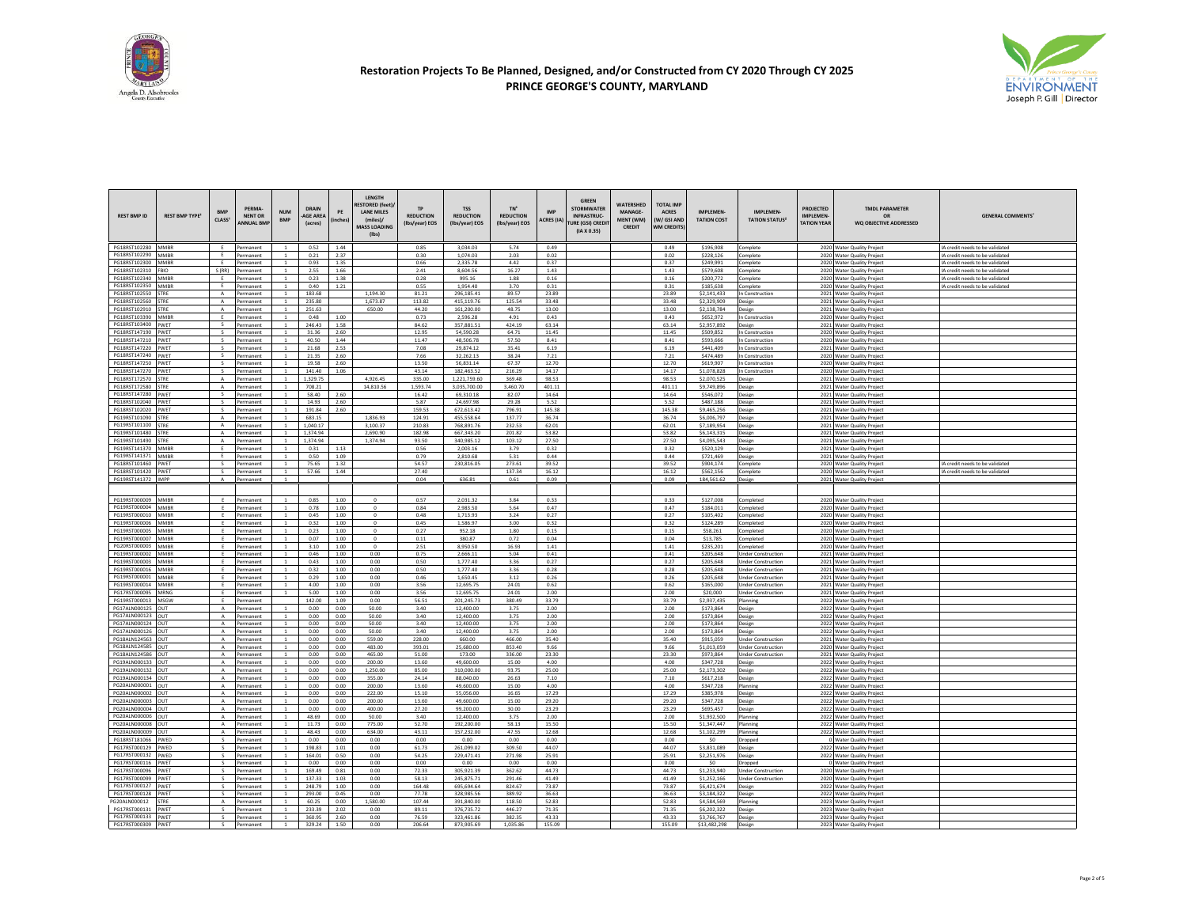



| <b>REST BMP ID</b>             | <b>REST BMP TYPE<sup>1</sup></b> | <b>BMP</b><br>CIASS <sup>1</sup> | PFRMA-<br><b>NENT OR</b><br><b>ANNUAL BMF</b> | <b>NUM</b><br><b>RMP</b>         | <b>DRAIN</b><br>-AGE AREA<br>(acres) | PE<br>inches | LENGTH<br><b>ESTORED (feet)</b><br><b>LANE MILES</b><br>(miles)<br><b>MASS LOADING</b><br>$($ lbs $)$ | <b>TP</b><br><b>REDUCTION</b><br>(Ibs/year) EOS | <b>TSS</b><br><b>REDUCTION</b><br>(Ibs/year) EOS | TN <sup>6</sup><br><b>REDUCTION</b><br>(Ibs/vear) EOS | <b>IMP</b><br><b>ACRES</b> (IA) | <b>GREEN</b><br><b>STORMWATER</b><br><b>INFRASTRUC-</b><br><b>URE (GSI) CREDI</b><br>(IA X 0.35) | <b>WATERSHED</b><br><b>MANAGE-</b><br>MFNT (WM)<br>CREDIT | <b>TOTAL IMP</b><br><b>ACRES</b><br><b>W/GSLAND</b><br><b>WM CREDITS</b> | <b>IMPLEMEN</b><br><b>TATION COST</b> | <b>IMPLEMEN-</b><br><b>TATION STATUS?</b>              | <b>PROJECTED</b><br>IMPLEMEN-<br><b>TATION YEAR</b> | <b>TMDL PARAMETER</b><br>OR<br>WQ OBJECTIVE ADDRESSED    | <b>GENERAL COMMENTS'</b>                                           |
|--------------------------------|----------------------------------|----------------------------------|-----------------------------------------------|----------------------------------|--------------------------------------|--------------|-------------------------------------------------------------------------------------------------------|-------------------------------------------------|--------------------------------------------------|-------------------------------------------------------|---------------------------------|--------------------------------------------------------------------------------------------------|-----------------------------------------------------------|--------------------------------------------------------------------------|---------------------------------------|--------------------------------------------------------|-----------------------------------------------------|----------------------------------------------------------|--------------------------------------------------------------------|
| PG18RST102280 MMBR             |                                  | F                                | Permanent                                     |                                  | 0.52                                 | 1.44         |                                                                                                       | 0.85                                            | 3.034.03                                         | 5.74                                                  | 0.49                            |                                                                                                  |                                                           | 0.49                                                                     | \$196,908                             | Complete                                               |                                                     | 2020 Water Quality Project                               | IA credit needs to be validated                                    |
| PG18RST102290                  | <b>MMBF</b>                      | E                                | Permanent                                     |                                  | 0.21                                 | 2.37         |                                                                                                       | 0.30                                            | 1.074.03                                         | 2.03                                                  | 0.02                            |                                                                                                  |                                                           | 0.02                                                                     | \$228.126                             | complete                                               |                                                     | 2020 Water Quality Project                               | IA credit needs to be validated                                    |
| PG18RST102300<br>PG18RST102310 | <b>MAARR</b><br><b>FBIO</b>      | F<br>S(RR)                       | Permanent<br>Permanent                        | $\overline{1}$                   | 0.93<br>2.55                         | 1.35<br>1.66 |                                                                                                       | 0.66<br>2.41                                    | 2,335.78<br>8.604.56                             | 4.42<br>16.27                                         | 0.37<br>1.43                    |                                                                                                  |                                                           | 0.37<br>1.43                                                             | \$249,991<br>\$579,608                | Complete                                               |                                                     | 2020 Water Quality Project<br>2020 Water Quality Project | IA credit needs to be validated<br>IA credit needs to be validated |
| PG18RST102340                  | <b>MMBF</b>                      |                                  | Permanent                                     |                                  | 0.23                                 | 1.38         |                                                                                                       | 0.28                                            | 995.16                                           | 1.88                                                  | 0.16                            |                                                                                                  |                                                           | 0.16                                                                     | \$200,772                             | complete<br>complete                                   |                                                     | 2020 Water Quality Project                               | A credit needs to be validated                                     |
| PG18RST102350                  | MMRR                             | F                                | Permanent                                     | $\overline{1}$                   | 0.40                                 | 1.21         |                                                                                                       | 0.55                                            | 1,954.40                                         | 3.70                                                  | 0.31                            |                                                                                                  |                                                           | 0.31                                                                     | \$185,638                             | omplete                                                |                                                     | 2020 Water Quality Project                               | IA credit needs to be validated                                    |
| PG18RST102550                  | <b>TRF</b>                       | A                                | Permanent                                     |                                  | 183.68                               |              | 1.194.30                                                                                              | 81.21                                           | 296 185 41                                       | 89.57                                                 | 23.89                           |                                                                                                  |                                                           | 23.89                                                                    | \$2.141.433                           | n Construction                                         |                                                     | 2021 Water Quality Project                               |                                                                    |
| PG18RST102560<br>PG18RST102910 | <b>STRE</b><br>STRF              | A<br>$\Lambda$                   | Permanent<br>Permanent                        | <sup>1</sup><br>$\sim$           | 235.80<br>251.63                     |              | 1,673.87<br>650.00                                                                                    | 113.82<br>44.20                                 | 415,119.76<br>161,200.00                         | 125.54<br>48.75                                       | 33.48<br>13.00                  |                                                                                                  |                                                           | 33.48<br>13.00                                                           | \$2,329,909<br>\$2,138,784            | Design                                                 |                                                     | 2021 Water Quality Project                               |                                                                    |
| PG18RST103390                  | MMBF                             |                                  | Permanent                                     |                                  | 0.48                                 | 1.00         |                                                                                                       | 0.73                                            | 2.596.28                                         | 4.91                                                  | 0.43                            |                                                                                                  |                                                           | 0.43                                                                     | \$652.972                             | Design<br>In Construction                              |                                                     | 2021 Water Quality Project<br>2020 Water Quality Project |                                                                    |
| PG18RST103400                  | PWET                             | $\mathsf{s}$                     | Permanent                                     | <sup>1</sup>                     | 246.43                               | 1.58         |                                                                                                       | 84.62                                           | 357,881.51                                       | 424.19                                                | 63.14                           |                                                                                                  |                                                           | 63.14                                                                    | \$2,957,892                           | <b>Jesign</b>                                          |                                                     | 2021 Water Quality Project                               |                                                                    |
| PG18RST147190                  | PWET                             | $\overline{\mathbf{s}}$          | Permanent                                     | $\overline{1}$                   | 31.36                                | 2.60         |                                                                                                       | 12.95                                           | 54.590.28                                        | 64.71                                                 | 11.45                           |                                                                                                  |                                                           | 11.45                                                                    | \$509,852                             | In Construction                                        |                                                     | 2020 Water Quality Project                               |                                                                    |
| PG18RST147210<br>PG18RST147220 | PWET<br><b>PWFT</b>              | s<br>s.                          | Permanent<br>Permanent                        |                                  | 40.50<br>21.68                       | 1.44<br>2.53 |                                                                                                       | 11.47<br>7.08                                   | 48.506.78<br>29.874.12                           | 57.50<br>35.41                                        | 8.41<br>6.19                    |                                                                                                  |                                                           | 8.41<br>6.19                                                             | \$593,666<br>\$441,409                | In Construction<br>In Construction                     |                                                     | 2020 Water Quality Project<br>2021 Water Quality Projec  |                                                                    |
| PG18RST147240                  | PWET                             | s                                | Permanent                                     |                                  | 21.35                                | 2.60         |                                                                                                       | 7.66                                            | 32.262.13                                        | 38.24                                                 | 7.21                            |                                                                                                  |                                                           | 7.21                                                                     | \$474,489                             | n Construction                                         |                                                     | 2020 Water Quality Project                               |                                                                    |
| PG18RST147250                  | PWET                             | $\sim$                           | Permanent                                     | <sup>1</sup>                     | 19.58                                | 2.60         |                                                                                                       | 13.50                                           | 56,831.14                                        | 67.37                                                 | 12.70                           |                                                                                                  |                                                           | 12.70                                                                    | \$619,907                             | In Construction                                        |                                                     | 2020 Water Quality Project                               |                                                                    |
| PG18RST147270                  | PWFT                             | $\sim$                           | Permanent                                     | $\overline{1}$                   | 141.40                               | 1.06         |                                                                                                       | 43.14                                           | 182 463 52                                       | 216.29                                                | 14.17                           |                                                                                                  |                                                           | 14.17                                                                    | \$1,078,828                           | In Construction                                        |                                                     | 2020 Water Quality Project                               |                                                                    |
| PG18RST172570<br>PG18RST172580 | <b>STRE</b><br><b>STRE</b>       | $\mathsf{A}$<br>A                | Permanent<br>Permanent                        | $\overline{1}$                   | 1,329.75<br>708.21                   |              | 4.926.45<br>14,810.56                                                                                 | 335.00<br>1,593.74                              | 1,221,759.60<br>3,035,700.00                     | 369.48<br>3,460.70                                    | 98.53<br>401.11                 |                                                                                                  |                                                           | 98.53<br>401.11                                                          | \$2,070,525<br>\$9,749,896            | Design<br>Design                                       |                                                     | 2021 Water Quality Project<br>2021 Water Quality Project |                                                                    |
| PG18RST147280                  | PWET                             | s                                | Permanent                                     | $\overline{1}$                   | 58.40                                | 2.60         |                                                                                                       | 16.42                                           | 69.310.18                                        | 82.07                                                 | 14.64                           |                                                                                                  |                                                           | 14.64                                                                    | \$546.072                             | Design                                                 |                                                     | 2021 Water Quality Project                               |                                                                    |
| PG18RST102040                  | WET                              |                                  | Permanent                                     |                                  | 14.93                                | 2.60         |                                                                                                       | 5.87                                            | 24,697.98                                        | 29.28                                                 | 5.52                            |                                                                                                  |                                                           | 5.52                                                                     | \$487.188                             | Design                                                 |                                                     | 2021 Water Quality Project                               |                                                                    |
| PG18RST102020                  | PWFT                             | $\sim$                           | Permanent                                     | $\overline{1}$                   | 191.84                               | 2.60         |                                                                                                       | 159.53                                          | 672.613.42                                       | 796.91                                                | 145 38                          |                                                                                                  |                                                           | 145.38                                                                   | \$9.465.256                           | Design                                                 |                                                     | 2021 Water Quality Projec                                |                                                                    |
| PG19RST101090<br>PG19RST101100 | <b>STRE</b><br><b>STRE</b>       | $\mathsf{A}$<br>A                | Permanent<br>Permanent                        | <sup>1</sup>                     | 683.15<br>1.040.17                   |              | 1.836.93<br>3.100.37                                                                                  | 124.91<br>210.83                                | 455.558.64<br>768,891.76                         | 137.77<br>232.53                                      | 36.74<br>62.01                  |                                                                                                  |                                                           | 36.74<br>62.01                                                           | \$6,006.797<br>\$7,189,954            | Design                                                 |                                                     | 2021 Water Quality Project<br>2021 Water Quality Project |                                                                    |
| PG19RST101480                  | STRF                             | $\mathbf{A}$                     | Permanent                                     | $\overline{1}$                   | 1.374.94                             |              | 2.690.90                                                                                              | 182.98                                          | 667 343 20                                       | 201.82                                                | 53.82                           |                                                                                                  |                                                           | 53.82                                                                    | \$6,143,315                           | Design<br>Design                                       |                                                     | 2021 Water Quality Project                               |                                                                    |
| PG19RST101490                  | <b>STRE</b>                      | A                                | Permanent                                     |                                  | 1,374.94                             |              | 1.374.94                                                                                              | 93.50                                           | 340,985.12                                       | 103.12                                                | 27.50                           |                                                                                                  |                                                           | 27.50                                                                    | \$4,095,543                           | Design                                                 |                                                     | 2021 Water Quality Project                               |                                                                    |
| PG19RST141370                  | <b>MMBF</b>                      | F                                | Permanent                                     |                                  | 0.31                                 | 1.13         |                                                                                                       | 0.56                                            | 2,003.16                                         | 3.79                                                  | 0.32                            |                                                                                                  |                                                           | 0.32                                                                     | \$520,129                             | Design                                                 |                                                     | 2021 Water Quality Project                               |                                                                    |
| PG19RST141371                  | MMBR                             | F.                               | Permanent                                     |                                  | 0.50                                 | 1.09         |                                                                                                       | 0.79                                            | 2,810.68                                         | 5.31                                                  | 0.44                            |                                                                                                  |                                                           | 0.44                                                                     | \$721,469                             | Jesign                                                 |                                                     | 2021 Water Quality Project                               |                                                                    |
| PG18RST101460<br>PG18RST101420 | PWET<br>PWET                     | s<br>s.                          | Permanent<br>Permanent                        | <sup>1</sup>                     | 75.65<br>57.66                       | 1.32<br>1.44 |                                                                                                       | 54.57<br>27.40                                  | 230,816.05                                       | 273.61<br>137.34                                      | 39.52<br>16.12                  |                                                                                                  |                                                           | 39.52<br>16.12                                                           | \$904,174<br>\$562,156                | Complete<br>Complete                                   |                                                     | 2020 Water Quality Project<br>2020 Water Quality Project | IA credit needs to be validated<br>IA credit needs to be validated |
| PG19RST141372                  | <b>IMPP</b>                      | $\Lambda$                        | Permanent                                     |                                  |                                      |              |                                                                                                       | 0.04                                            | 636.81                                           | 0.61                                                  | 0.09                            |                                                                                                  |                                                           | 0.09                                                                     | 184,561.62                            | Design                                                 |                                                     | 2021 Water Quality Project                               |                                                                    |
|                                |                                  |                                  |                                               |                                  |                                      |              |                                                                                                       |                                                 |                                                  |                                                       |                                 |                                                                                                  |                                                           |                                                                          |                                       |                                                        |                                                     |                                                          |                                                                    |
| PG19RST000009                  | <b>MMBR</b>                      | F                                | Permanent                                     | $\overline{1}$                   | 0.85                                 | 1.00         | $\Omega$                                                                                              | 0.57                                            | 2.031.32                                         | 3.84                                                  | 0.33                            |                                                                                                  |                                                           | 0.33                                                                     | \$127,008                             | Completed                                              |                                                     | 2020 Water Quality Project                               |                                                                    |
| PG19RST000004                  | MMRR                             | F                                | Permanent                                     | $\overline{1}$                   | 0.78                                 | 1.00         | $\Omega$                                                                                              | 0.84                                            | 2.983.50                                         | 5.64                                                  | 0.47                            |                                                                                                  |                                                           | 0.47                                                                     | \$184.011                             | completed                                              |                                                     | 2020 Water Quality Projec                                |                                                                    |
| PG19RST000010                  | <b>MMBF</b>                      | E                                | Permanent                                     |                                  | 0.45                                 | 1.00         | $\circ$                                                                                               | 0.48                                            | 1,713.93                                         | 3.24                                                  | 0.27                            |                                                                                                  |                                                           | 0.27                                                                     | \$105,402                             | completed                                              |                                                     | 2020 Water Quality Project                               |                                                                    |
| PG19RST000006<br>PG19RST000005 | MMRR<br>MMBF                     | E<br>Ε.                          | Permanent<br>Permanent                        | $\overline{1}$<br>$\mathbf{1}$   | 0.32<br>0.23                         | 1.00<br>1.00 | $\circ$<br>$^{\circ}$                                                                                 | 0.45<br>0.27                                    | 1.586.97<br>952.18                               | 3.00<br>1.80                                          | 0.32<br>0.15                    |                                                                                                  |                                                           | 0.32<br>0.15                                                             | \$124,289<br>\$58,261                 | Completed<br>completed                                 |                                                     | 2020 Water Quality Project<br>2020 Water Quality Project |                                                                    |
| PG19RST000007                  | <b>MMBF</b>                      | F                                |                                               | $\overline{1}$                   | 0.07                                 | 1.00         | $\circ$                                                                                               | 0.11                                            | 380.87                                           | 0.72                                                  | 0.04                            |                                                                                                  |                                                           | 0.04                                                                     | \$13,785                              | ompleted                                               |                                                     | 2020 Water Quality Projec                                |                                                                    |
| PG20RST000003                  | MMRF                             | E                                | Permanent                                     |                                  | 3.10                                 | 1.00         | $\Omega$                                                                                              | 2.51                                            | 8,950.50                                         | 16.93                                                 | 1.41                            |                                                                                                  |                                                           | $1.41\,$                                                                 | \$235,201                             | ompleted                                               |                                                     | 2020 Water Quality Project                               |                                                                    |
| PG19RST000002                  | MMRF                             | F                                | Permanent                                     |                                  | 0.46                                 | 1.00         | 0.00                                                                                                  | 0.75                                            | 2.666.11                                         | 5.04                                                  | 0.41                            |                                                                                                  |                                                           | 0.41                                                                     | \$205,648                             | <b>Jnder Construction</b>                              |                                                     | 2021 Water Quality Project                               |                                                                    |
| PG19RST000003<br>PG19RST000016 | MAARR<br>MMBF                    | E<br>E                           | Permanent<br>Permanent                        | $\overline{1}$<br>$\overline{1}$ | 0.43<br>0.32                         | 1.00<br>1.00 | 0.00<br>0.00                                                                                          | 0.50<br>0.50                                    | 1,777.40<br>1,777.40                             | 3.36<br>3.36                                          | 0.27<br>0.28                    |                                                                                                  |                                                           | 0.27<br>0.28                                                             | \$205,648<br>\$205,648                | <b>Under Construction</b><br><b>Jnder Construction</b> |                                                     | 2021 Water Quality Project<br>2021 Water Quality Project |                                                                    |
| PG19RST000001                  | <b>MMBF</b>                      |                                  | Permanent                                     |                                  | 0.29                                 | 1.00         | 0.00                                                                                                  | 0.46                                            | 1.650.45                                         | 3.12                                                  | 0.26                            |                                                                                                  |                                                           | 0.26                                                                     | \$205.648                             | <b>Inder Construction</b>                              |                                                     | 2021 Water Quality Project                               |                                                                    |
| PG19RST000014                  | MMRR                             | F                                | Permanent                                     |                                  | 4.00                                 | 1.00         | 0.00                                                                                                  | 3.56                                            | 12,695.75                                        | 24.01                                                 | 0.62                            |                                                                                                  |                                                           | 0.62                                                                     | \$165,000                             | <b>Jnder Construction</b>                              |                                                     | 2021 Water Quality Project                               |                                                                    |
| PG17RST000095                  | MRNG                             | E                                | Permanent                                     |                                  | 5.00                                 | 1.00         | 0.00                                                                                                  | 3.56                                            | 12,695.75                                        | 24.01                                                 | 2.00                            |                                                                                                  |                                                           | 2.00                                                                     | \$20,000                              | <b>Jnder Construction</b>                              |                                                     | 2021 Water Quality Project                               |                                                                    |
| PG19RST000013<br>PG17ALN000125 | MSGW<br>OUT                      | E<br>$\mathsf{A}$                | Permanent<br>Permanent                        |                                  | 142.00<br>0.00                       | 1.09<br>0.00 | 0.00<br>50.00                                                                                         | 56.51<br>3.40                                   | 201,245.73<br>12.400.00                          | 380.49<br>3.75                                        | 33.79<br>200                    |                                                                                                  |                                                           | 33.79<br>2.00                                                            | \$2,937,435<br>\$173,864              | Planning                                               |                                                     | 2022 Water Quality Project<br>2022 Water Quality Project |                                                                    |
| PG17ALN000123                  | OUT                              | $\mathbf{A}$                     | Permanent                                     |                                  | 0.00                                 | 0.00         | 50.00                                                                                                 | 3.40                                            | 12,400.00                                        | 3.75                                                  | 2.00                            |                                                                                                  |                                                           | 2.00                                                                     | \$173.864                             | Design<br>Design                                       |                                                     | 2022 Water Quality Project                               |                                                                    |
| PG17ALN000124                  | OUT                              | A                                | Permanent                                     | <sup>1</sup>                     | 0.00                                 | 0.00         | 50.00                                                                                                 | 3.40                                            | 12,400.00                                        | 3.75                                                  | 2.00                            |                                                                                                  |                                                           | 2.00                                                                     | \$173,864                             | Design                                                 |                                                     | 2022 Water Quality Project                               |                                                                    |
| PG17ALN000126                  | OUT                              | $\mathsf{A}$                     | Permanent                                     |                                  | 0.00                                 | 0.00         | 50.00                                                                                                 | 3.40                                            | 12.400.00                                        | 3.75                                                  | 2.00                            |                                                                                                  |                                                           | 2.00                                                                     | \$173,864                             | Jesign                                                 |                                                     | 2022 Water Quality Project                               |                                                                    |
| PG18ALN124563<br>PG18ALN124585 | lout<br>OUT                      | $\mathsf{A}$<br>$\mathsf{A}$     | Permanent<br>Permanent                        | $\overline{1}$<br><sup>1</sup>   | 0.00<br>0.00                         | 0.00<br>0.00 | 559.00<br>483.00                                                                                      | 228.00<br>393.01                                | 660.00<br>25,680.00                              | 466.00<br>853.40                                      | 35.40<br>9.66                   |                                                                                                  |                                                           | 35.40<br>9.66                                                            | \$915,059<br>\$1,013,059              | <b>Under Construction</b><br><b>Inder Construction</b> |                                                     | 2021 Water Quality Project<br>2020 Water Quality Project |                                                                    |
| PG18ALN124586                  | OUT                              | $\mathsf{A}$                     | Permanent                                     |                                  | 0.00                                 | 0.00         | 465.00                                                                                                | 51.00                                           | 173.00                                           | 336.00                                                | 23.30                           |                                                                                                  |                                                           | 23.30                                                                    | \$973,864                             | <b>Jnder Construction</b>                              |                                                     | 2021 Water Quality Project                               |                                                                    |
| PG19ALN000133                  | OUT                              | $\mathsf{A}$                     | Permanent                                     | $\overline{1}$                   | 0.00                                 | 0.00         | 200.00                                                                                                | 13.60                                           | 49,600.00                                        | 15.00                                                 | 4.00                            |                                                                                                  |                                                           | 4.00                                                                     | \$347,728                             | <b>Design</b>                                          |                                                     | 2022 Water Quality Projec                                |                                                                    |
| PG19ALN000132                  | OUT                              | $\mathbf{A}$                     | Permanent                                     |                                  | 0.00                                 | 0.00         | 1.250.00                                                                                              | 85.00                                           | 310,000.00                                       | 93.75                                                 | 25.00                           |                                                                                                  |                                                           | 25.00                                                                    | \$2 173 302                           | Jesign                                                 |                                                     | 2022 Water Quality Project                               |                                                                    |
| PG19ALN000134<br>PG20ALN000001 | OUT<br>OUT                       | $\mathsf{A}$<br>A                | Permanent<br>Permanent                        |                                  | 0.00<br>0.00                         | 0.00<br>0.00 | 355.00<br>200.00                                                                                      | 24.14<br>13.60                                  | 88,040.00<br>49,600.00                           | 26.63<br>15.00                                        | 7.10<br>4.00                    |                                                                                                  |                                                           | 7.10<br>4.00                                                             | \$617.218<br>\$347,728                | Design<br>Planning                                     |                                                     | 2022 Water Quality Project<br>2022 Water Quality Project |                                                                    |
| PG20ALN000002                  | OUT                              | $\mathsf{A}$                     | Permanent                                     | $\overline{1}$                   | 0.00                                 | 0.00         | 222.00                                                                                                | 15.10                                           | 55.056.00                                        | 16.65                                                 | 17.29                           |                                                                                                  |                                                           | 17.29                                                                    | \$385.978                             | Design                                                 |                                                     | 2022 Water Quality Project                               |                                                                    |
| PG20ALN000003                  |                                  |                                  |                                               |                                  | 0.00                                 | 0.00         | 200.00                                                                                                | 13.60                                           | 49.600.00                                        | 15.00                                                 | 29.20                           |                                                                                                  |                                                           | 29.20                                                                    | \$347.728                             | Jesign                                                 |                                                     | 2022 Water Quality Project                               |                                                                    |
| PG20ALN000004                  | OUT                              | $\mathbf{A}$                     | Permanent                                     |                                  | 0.00                                 | 0.00         | 400.00                                                                                                | 27.20                                           | 99.200.00                                        | 30.00                                                 | 23.29                           |                                                                                                  |                                                           | 23.29                                                                    | \$695.457                             | Jesign                                                 |                                                     | 2022 Water Quality Projec                                |                                                                    |
| PG20ALN000006<br>PG20ALN000008 | OUT<br>lout                      | $\mathsf{A}$<br>A                | Permanent<br>Permanent                        | $\overline{1}$                   | 48.69<br>11.73                       | 0.00<br>0.00 | 50.00<br>775.00                                                                                       | 3.40<br>52.70                                   | 12.400.00<br>192,200.00                          | 3.75<br>58.13                                         | 2.00<br>15.50                   |                                                                                                  |                                                           | 2.00<br>15.50                                                            | \$1.932.500<br>\$1,347,447            | Planning<br>Planning                                   |                                                     | 2022 Water Quality Project<br>2022 Water Quality Project |                                                                    |
| PG20ALN000009                  | OUT                              | $\mathbf{A}$                     | Permanent                                     |                                  | 48.43                                | 0.00         | 634.00                                                                                                | 43.11                                           | 157.232.00                                       | 47.55                                                 | 12.68                           |                                                                                                  |                                                           | 12.68                                                                    | \$1,102,299                           | Planning                                               |                                                     | 2022 Water Quality Project                               |                                                                    |
| PG18RST181066                  | PWED                             |                                  | Permanent                                     |                                  | 0.00                                 | 0.00         | 0.00                                                                                                  | 0.00                                            | 0.00                                             | 0.00                                                  | 0.00                            |                                                                                                  |                                                           | 0.00                                                                     | \$0                                   | Dropped                                                |                                                     | 0 Water Quality Project                                  |                                                                    |
| PG17RST000129                  | PWED                             | $\mathbf{S}$                     |                                               | $\overline{1}$                   | 198.83                               | 1.01         | 0.00                                                                                                  | 61.73                                           | 261,099.02                                       | 309.50                                                | 44.07                           |                                                                                                  |                                                           | 44.07                                                                    | \$3,831,089                           | <b>Design</b>                                          |                                                     | 2022 Water Quality Project                               |                                                                    |
| PG17RST000132<br>PG17RST000116 | PWED<br>PWET                     | $\zeta$<br>s                     | Permanent<br>Permanent                        |                                  | 164.01<br>0.00                       | 0.50<br>0.00 | 0.00<br>0.00                                                                                          | 54.25<br>0.00                                   | 229,471.41<br>0.00                               | 271.98<br>0.00                                        | 25.91<br>0.00                   |                                                                                                  |                                                           | 25.91<br>0.00                                                            | \$2,251,976<br>\$0                    | Design                                                 |                                                     | 2022 Water Quality Project<br>0 Water Quality Project    |                                                                    |
| PG17RST000096                  | PWFT                             | s.                               | Permanent                                     | $\overline{1}$                   | 169.49                               | 0.81         | 0.00                                                                                                  | 72.33                                           | 305.921.39                                       | 362.62                                                | 44.73                           |                                                                                                  |                                                           | 44.73                                                                    | \$1,233,940                           | <b>Dropped</b><br><b>Under Construction</b>            |                                                     | 2020 Water Quality Project                               |                                                                    |
| PG17RST000099                  | PWET                             |                                  | Permanent                                     |                                  | 137.33                               | 1.03         | 0.00                                                                                                  | 58.13                                           | 245.875.71                                       | 291.46                                                | 41.49                           |                                                                                                  |                                                           | 41.49                                                                    | \$1.252.166                           | <b>Inder Construction</b>                              |                                                     | 2020 Water Quality Project                               |                                                                    |
| PG17RST000127                  | PWFT                             | $\epsilon$                       | Permanent                                     | $\overline{1}$                   | 248.79                               | 1.00         | 0.00                                                                                                  | 164.48                                          | 695.694.64                                       | 824.67                                                | 73.87                           |                                                                                                  |                                                           | 73.87                                                                    | \$6,421,674                           | Design                                                 |                                                     | 2022 Water Quality Project                               |                                                                    |
| PG17RST000128<br>PG20ALN000012 | PWET<br><b>STRE</b>              | s.<br>$\mathsf{A}$               | Permanent<br>Permanent                        |                                  | 293.00<br>60.25                      | 0.45<br>0.00 | 0.00<br>1.580.00                                                                                      | 77.78<br>107.44                                 | 328.985.56<br>391,840.00                         | 389.92<br>118.50                                      | 36.63<br>52.83                  |                                                                                                  |                                                           | 36.63<br>52.83                                                           | \$3,184,322<br>\$4,584,569            | Design<br>Planning                                     |                                                     | 2022 Water Quality Project<br>2023 Water Quality Project |                                                                    |
| PG17RST000131                  | PWFT                             | S.                               | Permanent                                     | <sup>1</sup>                     | 233.39                               | 2.02         | 0.00                                                                                                  | 89.11                                           | 376,735.72                                       | 446.27                                                | 71.35                           |                                                                                                  |                                                           | 71.35                                                                    | \$6,202,322                           | Design                                                 |                                                     | 2023 Water Quality Project                               |                                                                    |
| PG17RST000133                  | PWFT                             | s.                               | Permanent                                     |                                  | 360.95                               | 2.60         | 0.00                                                                                                  | 76.59                                           | 323 461 86                                       | 382.35                                                | 43.33                           |                                                                                                  |                                                           | 43.33                                                                    | \$3 766 767                           | Jesign                                                 |                                                     | 2023 Water Quality Project                               |                                                                    |
| PG17RST000309                  | PWET                             | $\sim$                           | Permanent                                     | $\overline{1}$                   | 329.24                               | 1.50         | 0.00                                                                                                  | 206.64                                          | 873,905.69                                       | 1.035.86                                              | 155.09                          |                                                                                                  |                                                           | 155.09                                                                   | \$13,482,298                          | Design                                                 |                                                     | 2023 Water Quality Project                               |                                                                    |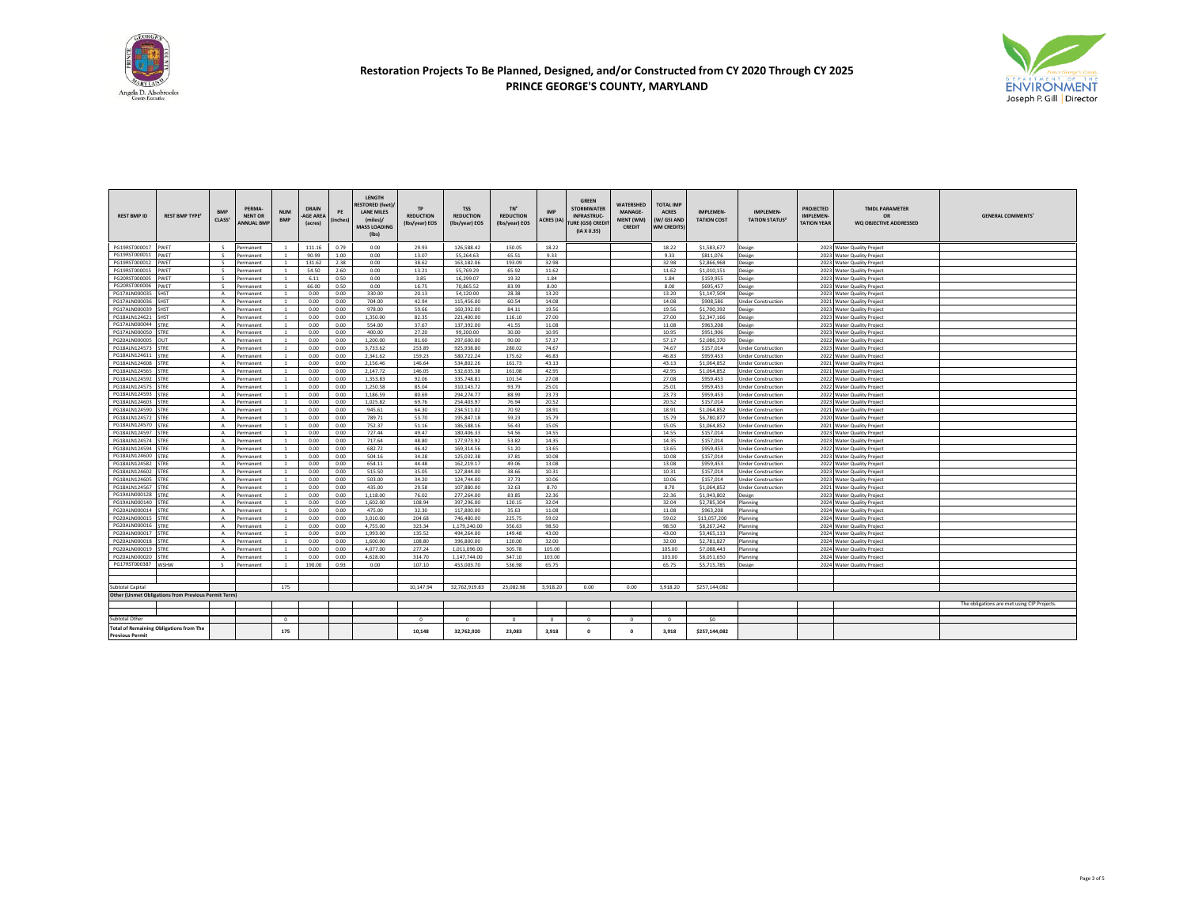



| <b>REST BMP ID</b>                                                       | <b>REST BMP TYPE<sup>1</sup></b>                    | <b>BMP</b><br>CLASS <sup>1</sup> | PERMA-<br><b>NENT OR</b><br><b>INNUAL BMP</b> | <b>NUM</b><br><b>BMP</b>       | <b>DRAIN</b><br><b>AGE AREA</b><br>(acres) | PE<br>(inches) | <b>LENGTH</b><br><b>RESTORED (feet)</b><br><b>LANE MILES</b><br>(miles)/<br><b>MASS LOADING</b><br>(lbs) | <b>TP</b><br><b>REDUCTION</b><br>(Ibs/year) EOS | <b>TSS</b><br><b>REDUCTION</b><br>(Ibs/year) EOS | TN <sup>c</sup><br><b>REDUCTION</b><br>(Ibs/year) EOS | <b>IMP</b><br><b>ACRES</b> (IA) | <b>GREEN</b><br><b>STORMWATER</b><br><b>INFRASTRUC-</b><br>URE (GSI) CREDI<br>(IAX 0.35) | <b>WATERSHED</b><br>MANAGE-<br>MENT (WM)<br><b>CREDIT</b> | <b>TOTAL IMP</b><br><b>ACRES</b><br>(W/ GSI AND<br>WM CREDITS) | <b>IMPLEMEN-</b><br><b>TATION COST</b> | <b>IMPLEMEN-</b><br><b>TATION STATUS?</b>              | <b>PROJECTED</b><br><b>IMPLEMEN-</b><br><b>TATION YEAR</b> | <b>TMDL PARAMETER</b><br>OR<br>WQ OBJECTIVE ADDRESSED        | <b>GENERAL COMMENTS</b>                     |
|--------------------------------------------------------------------------|-----------------------------------------------------|----------------------------------|-----------------------------------------------|--------------------------------|--------------------------------------------|----------------|----------------------------------------------------------------------------------------------------------|-------------------------------------------------|--------------------------------------------------|-------------------------------------------------------|---------------------------------|------------------------------------------------------------------------------------------|-----------------------------------------------------------|----------------------------------------------------------------|----------------------------------------|--------------------------------------------------------|------------------------------------------------------------|--------------------------------------------------------------|---------------------------------------------|
| PG19RST000017                                                            | PWET                                                | $\sim$                           | Permanent                                     |                                | 111.16                                     | 0.79           | 0.00                                                                                                     | 29.93                                           | 126.588.42                                       | 150.05                                                | 18.22                           |                                                                                          |                                                           | 18.22                                                          | \$1,583,677                            | Design                                                 |                                                            | 2023 Water Quality Project                                   |                                             |
| PG19RST000011                                                            | PWET                                                |                                  | ermanent                                      |                                | 90.99                                      | 1.00           | 0.00                                                                                                     | 13.07                                           | 55.264.63                                        | 65.51                                                 | 9.33                            |                                                                                          |                                                           | 9.33                                                           | \$811.076                              | Design                                                 | 2023                                                       | <b>Nater Quality Project</b>                                 |                                             |
| PG19RST000012                                                            | PWET                                                | S                                | ermanent                                      | $\mathbf{1}$                   | 131.62                                     | 2.38           | 0.00                                                                                                     | 38.62                                           | 163,182.06                                       | 193.09                                                | 32.98                           |                                                                                          |                                                           | 32.98                                                          | \$2,866,968                            | Design                                                 | 2023                                                       | <b>Water Quality Project</b>                                 |                                             |
| PG19RST000015                                                            | PWET                                                |                                  | ermanent                                      |                                | 54.50                                      | 2.60           | 0.00                                                                                                     | 13.21                                           | 55,769.29                                        | 65.92                                                 | 11.62                           |                                                                                          |                                                           | 11.62                                                          | \$1,010,151                            | Design                                                 |                                                            | 2023 Water Quality Project                                   |                                             |
| PG20RST000005                                                            | PWET                                                | $\sim$                           | Permanent                                     | $\overline{1}$                 | 6.11                                       | 0.50           | 0.00                                                                                                     | 3.85                                            | 16.299.07                                        | 19.32                                                 | 1.84                            |                                                                                          |                                                           | 1.84                                                           | \$159,955                              | Design                                                 | 2023                                                       | <b>Water Quality Project</b>                                 |                                             |
| PG20RST000006                                                            | PWET                                                | S.                               | Permanent                                     | $\overline{1}$                 | 66.00                                      | 0.50           | 0.00                                                                                                     | 16.75                                           | 70,865.52                                        | 83.99                                                 | 8.00                            |                                                                                          |                                                           | 8.00                                                           | \$695,457                              | Design                                                 |                                                            | 2023 Water Quality Project                                   |                                             |
| PG17ALN000035                                                            | <b>SHST</b>                                         | $\overline{a}$                   | ermanent                                      |                                | 0.00                                       | 0.00           | 330.00                                                                                                   | 20.13                                           | 54.120.00                                        | 28.38                                                 | 13.20                           |                                                                                          |                                                           | 13.20                                                          | \$1.147.504                            | Design                                                 | 2023                                                       | <b>Nater Quality Project</b>                                 |                                             |
| PG17ALN000036                                                            | SHST                                                | $\overline{A}$                   | ermanent                                      | <sup>1</sup>                   | 0.00                                       | 0.00           | 704.00                                                                                                   | 42.94                                           | 115,456.00                                       | 60.54                                                 | 14.08                           |                                                                                          |                                                           | 14.08                                                          | \$908,586                              | <b>Under Construction</b>                              | 2021                                                       | <b>Water Quality Project</b>                                 |                                             |
| PG17ALN000039                                                            | SHST                                                |                                  | ermanent                                      |                                | 0.00                                       | 0.00           | 978.00                                                                                                   | 59.66                                           | 160.392.00                                       | 84.11                                                 | 19.56                           |                                                                                          |                                                           | 19.56                                                          | \$1,700.392                            | Design                                                 | 2023                                                       | Water Quality Project                                        |                                             |
| PG18ALN124621                                                            | SHST                                                | $\overline{A}$                   | ermanent                                      | <sup>1</sup>                   | 0.00                                       | 0.00           | 1.350.00                                                                                                 | 82.35                                           | 221.400.00                                       | 116.10                                                | 27.00                           |                                                                                          |                                                           | 27.00                                                          | \$2,347,166                            | Design                                                 |                                                            | 2023 Water Quality Project                                   |                                             |
| PG17ALN000044                                                            | STRF                                                | $\Lambda$                        | Permanent                                     | $\overline{1}$                 | 0.00                                       | 0.00           | 554.00                                                                                                   | 37.67                                           | 137.392.00                                       | 41.55                                                 | 11.08                           |                                                                                          |                                                           | 11.08                                                          | \$963,208                              | Design                                                 |                                                            | 2023 Water Quality Project                                   |                                             |
| PG17ALN000050                                                            | <b>STRF</b>                                         | $\overline{A}$                   | Permanent                                     | <sup>1</sup>                   | 0.00                                       | 0.00           | 400.00                                                                                                   | 27.20                                           | 99,200.00                                        | 30.00                                                 | 10.95                           |                                                                                          |                                                           | 10.95                                                          | \$951,906                              | Design                                                 | 2023                                                       | Water Quality Project                                        |                                             |
| PG20ALN000005                                                            | lout                                                | $\overline{A}$                   | Permanent                                     | <sup>1</sup>                   | 0.00                                       | 0.00           | 1,200.00                                                                                                 | 81.60                                           | 297,600.00                                       | 90.00                                                 | 57.17                           |                                                                                          |                                                           | 57.17                                                          | \$2,086,370                            | Design                                                 |                                                            | 2022 Water Quality Project                                   |                                             |
| PG18ALN124573                                                            | <b>STRE</b>                                         | $\overline{a}$                   | ermanent                                      |                                | 0.00                                       | 0.00           | 3.733.62                                                                                                 | 253.89                                          | 925.938.80                                       | 280.02                                                | 74.67                           |                                                                                          |                                                           | 74.67                                                          | \$157,014                              | <b>Under Construction</b>                              | 2023                                                       | <b>Water Quality Project</b>                                 |                                             |
| PG18ALN124611                                                            | STRE                                                | $\mathbf{A}$                     | ermanent                                      | $\overline{1}$                 | 0.00                                       | 0.00           | 2.341.62                                                                                                 | 159.23                                          | 580.722.24                                       | 175.62                                                | 46.83                           |                                                                                          |                                                           | 46.83                                                          | \$959,453                              | <b>Under Construction</b>                              | 2022                                                       | <b>Water Quality Project</b>                                 |                                             |
| PG18ALN124608                                                            | <b>STRE</b>                                         | A                                | ermanent                                      | $\overline{1}$                 | 0.00                                       | 0.00           | 2,156.46                                                                                                 | 146.64                                          | 534,802.26                                       | 161.73                                                | 43.13                           |                                                                                          |                                                           | 43.13                                                          | \$1,064,852                            | <b>Under Construction</b>                              | 2021                                                       | <b>Water Quality Project</b>                                 |                                             |
| PG18ALN124565                                                            | STRE                                                | $\overline{A}$                   | ermanent                                      | <sup>1</sup>                   | 0.00                                       | 0.00           | 2.147.72                                                                                                 | 146.05                                          | 532.635.38                                       | 161.08                                                | 42.95                           |                                                                                          |                                                           | 42.95                                                          | \$1,064,852                            | <b>Under Construction</b>                              | 2021                                                       | Water Quality Project                                        |                                             |
| PG18ALN124592                                                            | STRF                                                | $\mathbf{A}$                     | Permanent                                     | $\overline{1}$                 | 0.00                                       | 0.00           | 1.353.83                                                                                                 | 92.06                                           | 335,748.81                                       | 101.54                                                | 27.08                           |                                                                                          |                                                           | 27.08                                                          | \$959,453                              | <b>Under Construction</b>                              |                                                            | 2022 Water Quality Project                                   |                                             |
| PG18ALN124575                                                            | <b>STRE</b>                                         | $\overline{A}$                   | ermanent                                      | $\overline{1}$                 | 0.00                                       | 0.00           | 1.250.58                                                                                                 | 85.04                                           | 310,143.72                                       | 93.79                                                 | 25.01                           |                                                                                          |                                                           | 25.01                                                          | \$959,453                              | <b>Under Construction</b>                              | 2022                                                       | Water Quality Project                                        |                                             |
| PG18ALN124593                                                            | <b>STRE</b>                                         | $\mathbf{A}$                     | Permanent                                     | <sup>1</sup>                   | 0.00                                       | 0.00           | 1.186.59                                                                                                 | 80.69                                           | 294.274.77                                       | 88.99                                                 | 23.73                           |                                                                                          |                                                           | 23.73                                                          | \$959,453                              | <b>Under Construction</b>                              |                                                            | 2022 Water Quality Project                                   |                                             |
| PG18ALN124603                                                            | <b>STRE</b>                                         | $\overline{a}$<br>$\mathbf{A}$   | ermanent                                      | $\overline{1}$                 | 0.00                                       | 0.00           | 1.025.82                                                                                                 | 69.76                                           | 254.403.97                                       | 76.94                                                 | 20.52                           |                                                                                          |                                                           | 20.52                                                          | \$157,014                              | <b>Under Construction</b>                              | 2023                                                       | <b>Water Quality Project</b>                                 |                                             |
| PG18ALN124590<br>PG18ALN124572                                           | STRE<br><b>STRF</b>                                 |                                  | Permanent                                     |                                | 0.00                                       | 0.00           | 945.61                                                                                                   | 64.30                                           | 234.511.02                                       | 70.92                                                 | 18.91                           |                                                                                          |                                                           | 18.91                                                          | \$1,064,852                            | <b>Under Construction</b>                              | 2021                                                       | <b>Water Quality Project</b>                                 |                                             |
| PG18ALN124570                                                            | <b>STRE</b>                                         | $\mathbf{A}$<br>A                | ermanent<br>Permanent                         | $\overline{1}$<br><sup>1</sup> | 0.00<br>0.00                               | 0.00<br>0.00   | 789.71<br>752.37                                                                                         | 53.70<br>51.16                                  | 195.847.18<br>186,588.16                         | 59.23<br>56.43                                        | 15.79<br>15.05                  |                                                                                          |                                                           | 15.79<br>15.05                                                 | \$6,780,877<br>\$1,064,852             | <b>Jnder Construction</b><br><b>Under Construction</b> | 2020<br>2021                                               | <b>Water Quality Project</b><br><b>Water Quality Project</b> |                                             |
| PG18ALN124597                                                            | <b>STRE</b>                                         | $\mathsf{A}$                     | ermanent                                      | <sup>1</sup>                   | 0.00                                       | 0.00           | 727.44                                                                                                   | 49.47                                           | 180.406.33                                       | 54.56                                                 | 14.55                           |                                                                                          |                                                           | 14.55                                                          | \$157,014                              | <b>Under Construction</b>                              |                                                            | 2023 Water Quality Project                                   |                                             |
| PG18ALN124574                                                            | <b>STRE</b>                                         | $\Delta$                         | Permanent                                     | $\overline{1}$                 | 0.00                                       | 0.00           | 717.64                                                                                                   | 48.80                                           | 177.973.92                                       | 53.82                                                 | 14.35                           |                                                                                          |                                                           | 14.35                                                          | \$157,014                              | <b>Under Construction</b>                              | 2023                                                       | <b>Water Quality Project</b>                                 |                                             |
| PG18ALN124594                                                            | <b>STRE</b>                                         | $\overline{a}$                   | Permanent                                     | $\overline{1}$                 | 0.00                                       | 0.00           | 682.72                                                                                                   | 46.42                                           | 169.314.56                                       | 51.20                                                 | 13.65                           |                                                                                          |                                                           | 13.65                                                          | \$959,453                              | <b>Under Construction</b>                              |                                                            | 2022 Water Quality Project                                   |                                             |
| PG18ALN124600                                                            | <b>STRE</b>                                         | $\mathbf{A}$                     | ermanent                                      | $\overline{1}$                 | 0.00                                       | 0.00           | 504.16                                                                                                   | 34.28                                           | 125,032.38                                       | 37.81                                                 | 10.08                           |                                                                                          |                                                           | 10.08                                                          | \$157,014                              | <b>Under Construction</b>                              | 2023                                                       | <b>Water Quality Project</b>                                 |                                             |
| PG18ALN124582                                                            | <b>STRE</b>                                         | $\mathbf{A}$                     | ermanent                                      | $\overline{1}$                 | 0.00                                       | 0.00           | 654.11                                                                                                   | 44.48                                           | 162,219.17                                       | 49.06                                                 | 13.08                           |                                                                                          |                                                           | 13.08                                                          | \$959,453                              | <b>Under Construction</b>                              | 2022                                                       | <b>Water Quality Project</b>                                 |                                             |
| PG18ALN124602                                                            | <b>STRF</b>                                         | $\mathbf{A}$                     | ermanent                                      |                                | 0.00                                       | 0.00           | 515.50                                                                                                   | 35.05                                           | 127,844.00                                       | 38.66                                                 | 10.31                           |                                                                                          |                                                           | 10.31                                                          | \$157.014                              | <b>Jnder Construction</b>                              | 2023                                                       | <b>Water Quality Project</b>                                 |                                             |
| PG18ALN124605                                                            | <b>STRF</b>                                         | A                                | Permanent                                     | $\overline{1}$                 | 0.00                                       | 0.00           | 503.00                                                                                                   | 34.20                                           | 124,744.00                                       | 37.73                                                 | 10.06                           |                                                                                          |                                                           | 10.06                                                          | \$157,014                              | <b>Under Construction</b>                              |                                                            | 2023 Water Quality Project                                   |                                             |
| PG18ALN124567                                                            | STRF                                                | $\mathbf{A}$                     | Permanent                                     | $\overline{1}$                 | 0.00                                       | 0.00           | 435.00                                                                                                   | 29.58                                           | 107.880.00                                       | 32.63                                                 | 8.70                            |                                                                                          |                                                           | 8.70                                                           | \$1,064,852                            | <b>Under Construction</b>                              |                                                            | 2021 Water Quality Project                                   |                                             |
| PG19ALN000128                                                            | <b>STRE</b>                                         | $\overline{A}$                   | Permanent                                     | <sup>1</sup>                   | 0.00                                       | 0.00           | 1,118.00                                                                                                 | 76.02                                           | 277,264.00                                       | 83.85                                                 | 22.36                           |                                                                                          |                                                           | 22.36                                                          | \$1,943,802                            | Design                                                 | 2023                                                       | Water Quality Project                                        |                                             |
| PG19ALN000140                                                            | <b>STRE</b>                                         | $\mathbf{A}$                     | Permanent                                     | $\mathbf{1}$                   | 0.00                                       | 0.00           | 1,602.00                                                                                                 | 108.94                                          | 397,296.00                                       | 120.15                                                | 32.04                           |                                                                                          |                                                           | 32.04                                                          | \$2,785,304                            | Planning                                               |                                                            | 2024 Water Quality Project                                   |                                             |
| PG20ALN000014                                                            | STRE                                                | $\overline{a}$                   | ermanent                                      |                                | 0.00                                       | 0.00           | 475.00                                                                                                   | 32.30                                           | 117,800.00                                       | 35.63                                                 | 11.08                           |                                                                                          |                                                           | 11.08                                                          | \$963,208                              | Planning                                               | 2024                                                       | <b>Water Quality Project</b>                                 |                                             |
| PG20ALN000015                                                            | <b>STRF</b>                                         | $\mathbf{A}$                     | ermanent                                      | <sup>1</sup>                   | 0.00                                       | 0.00           | 3.010.00                                                                                                 | 204.68                                          | 746.480.00                                       | 225.75                                                | 59.02                           |                                                                                          |                                                           | 59.02                                                          | \$13,057,200                           | Planning                                               |                                                            | 2024 Water Quality Project                                   |                                             |
| PG20ALN000016                                                            | <b>STRE</b>                                         | $\overline{A}$                   | ermanent                                      | <sup>1</sup>                   | 0.00                                       | 0.00           | 4.755.00                                                                                                 | 323.34                                          | 1.179.240.00                                     | 356.63                                                | 98.50                           |                                                                                          |                                                           | 98.50                                                          | \$8,267,242                            | Planning                                               | 2024                                                       | Water Quality Project                                        |                                             |
| PG20ALN000017                                                            | STRE                                                | A                                | Permanent                                     | <sup>1</sup>                   | 0.00                                       | 0.00           | 1.993.00                                                                                                 | 135.52                                          | 494.264.00                                       | 149.48                                                | 43.00                           |                                                                                          |                                                           | 43.00                                                          | \$3,465.113                            | Planning                                               |                                                            | 2024 Water Quality Project                                   |                                             |
| PG20ALN000018                                                            | <b>STRE</b>                                         | $\Lambda$                        | Permanent                                     | $\overline{1}$                 | 0.00                                       | 0.00           | 1.600.00                                                                                                 | 108.80                                          | 396,800.00                                       | 120.00                                                | 32.00                           |                                                                                          |                                                           | 32.00                                                          | \$2,781.827                            | Planning                                               |                                                            | 2024 Water Quality Project                                   |                                             |
| PG20ALN000019                                                            | <b>STRF</b>                                         | $\overline{a}$                   | ermanent                                      | $\overline{1}$                 | 0.00                                       | 0.00           | 4.077.00                                                                                                 | 277.24                                          | 1.011.096.00                                     | 305.78                                                | 105.00                          |                                                                                          |                                                           | 105.00                                                         | \$7,088,443                            | Planning                                               | 2024                                                       | <b>Nater Quality Project</b>                                 |                                             |
| PG20ALN000020                                                            | STRE                                                | $\mathbf{A}$                     | Permanent                                     | $\overline{1}$                 | 0.00                                       | 0.00           | 4,628.00                                                                                                 | 314.70                                          | 1,147,744.00                                     | 347.10                                                | 103.00                          |                                                                                          |                                                           | 103.00                                                         | \$8,051,650                            | Planning                                               | 2024                                                       | <b>Water Quality Project</b>                                 |                                             |
| PG17RST000387                                                            | WSHW                                                | $\sim$                           | ermanent                                      |                                | 190.00                                     | 0.93           | 0.00                                                                                                     | 107.10                                          | 453,003.70                                       | 536.98                                                | 65.75                           |                                                                                          |                                                           | 65.75                                                          | \$5,715,785                            | <b>Design</b>                                          |                                                            | 2024 Water Quality Project                                   |                                             |
|                                                                          |                                                     |                                  |                                               |                                |                                            |                |                                                                                                          |                                                 |                                                  |                                                       |                                 |                                                                                          |                                                           |                                                                |                                        |                                                        |                                                            |                                                              |                                             |
|                                                                          |                                                     |                                  |                                               |                                |                                            |                |                                                                                                          |                                                 |                                                  |                                                       |                                 |                                                                                          |                                                           |                                                                |                                        |                                                        |                                                            |                                                              |                                             |
| Subtotal Capital                                                         |                                                     |                                  |                                               | 175                            |                                            |                |                                                                                                          | 10.147.94                                       | 32.762.919.83                                    | 23.082.98                                             | 3.918.20                        | 0.00                                                                                     | 0.00                                                      | 3.918.20                                                       | \$257.144.082                          |                                                        |                                                            |                                                              |                                             |
|                                                                          | Other (Unmet Obligations from Previous Permit Term) |                                  |                                               |                                |                                            |                |                                                                                                          |                                                 |                                                  |                                                       |                                 |                                                                                          |                                                           |                                                                |                                        |                                                        |                                                            |                                                              |                                             |
|                                                                          |                                                     |                                  |                                               |                                |                                            |                |                                                                                                          |                                                 |                                                  |                                                       |                                 |                                                                                          |                                                           |                                                                |                                        |                                                        |                                                            |                                                              | The obligations are met using CIP Projects. |
|                                                                          |                                                     |                                  |                                               |                                |                                            |                |                                                                                                          |                                                 |                                                  |                                                       |                                 |                                                                                          |                                                           |                                                                |                                        |                                                        |                                                            |                                                              |                                             |
| Subtotal Other                                                           |                                                     |                                  |                                               | $\overline{0}$                 |                                            |                |                                                                                                          | $\Omega$                                        | $^{\circ}$                                       | $\circ$                                               | $\circ$                         | $\circ$                                                                                  | $^{\circ}$                                                | $^{\circ}$                                                     | SO                                     |                                                        |                                                            |                                                              |                                             |
| <b>Total of Remaining Obligations from The</b><br><b>Previous Permit</b> |                                                     |                                  |                                               | 175                            |                                            |                |                                                                                                          | 10,148                                          | 32,762,920                                       | 23.083                                                | 3,918                           | $\Omega$                                                                                 | $\Omega$                                                  | 3,918                                                          | \$257,144,082                          |                                                        |                                                            |                                                              |                                             |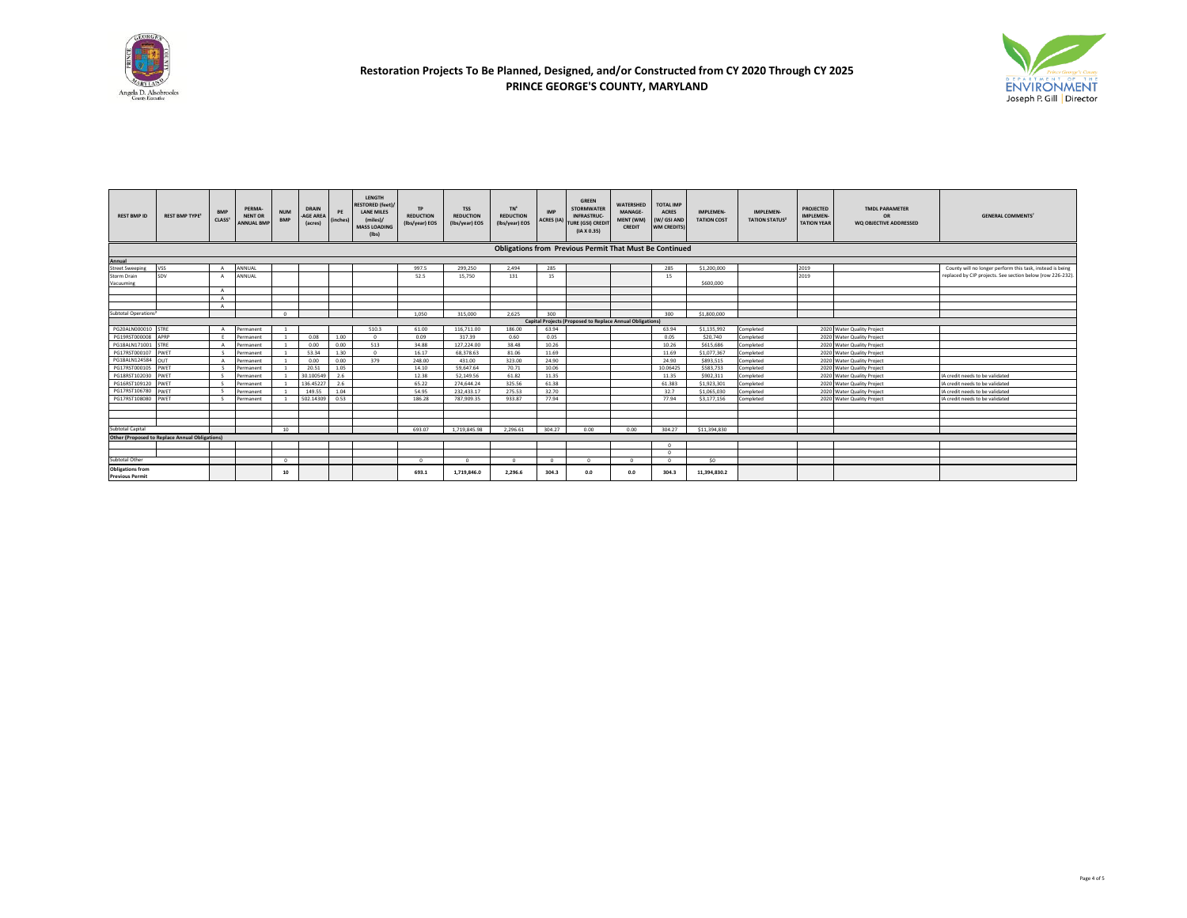



| <b>REST BMP ID</b>                                             | <b>REST BMP TYPE<sup>1</sup></b>                      | <b>BMP</b><br>CLASS <sup>1</sup> | PERMA-<br><b>NENT OR</b><br><b>ANNUAL BMP</b> | <b>NUM</b><br><b>BMP</b> | <b>DRAIN</b><br>-AGE AREA<br>(acres) | PE<br>(inches) | LENGTH<br><b>RESTORED (feet)</b><br><b>LANE MILES</b><br>(miles)/<br><b>MASS LOADING</b><br>$($ lbs $)$ | <b>TP</b><br><b>REDUCTION</b><br>(Ibs/year) EOS | <b>TSS</b><br><b>REDUCTION</b><br>(Ibs/year) EOS | TN <sup>c</sup><br><b>REDUCTION</b><br>(Ibs/year) EOS | <b>IMP</b><br><b>ACRES</b> (IA) | <b>GREEN</b><br><b>STORMWATER</b><br><b>INFRASTRUC-</b><br><b>TURE (GSI) CREDI</b><br>(IAX 0.35) | <b>WATERSHED</b><br>MANAGE-<br>MENT (WM)<br><b>CREDIT</b> | <b>TOTAL IMP</b><br><b>ACRES</b><br>(W/ GSI AND<br><b>WM CREDITS)</b> | <b>IMPLEMEN-</b><br><b>TATION COST</b> | <b>IMPLEMEN-</b><br><b>TATION STATUS<sup>2</sup></b> | <b>PROJECTED</b><br><b>IMPLEMEN-</b><br><b>TATION YEAR</b> | <b>TMDL PARAMETER</b><br>OR<br>WO OBJECTIVE ADDRESSED | <b>GENERAL COMMENTS</b>                                    |
|----------------------------------------------------------------|-------------------------------------------------------|----------------------------------|-----------------------------------------------|--------------------------|--------------------------------------|----------------|---------------------------------------------------------------------------------------------------------|-------------------------------------------------|--------------------------------------------------|-------------------------------------------------------|---------------------------------|--------------------------------------------------------------------------------------------------|-----------------------------------------------------------|-----------------------------------------------------------------------|----------------------------------------|------------------------------------------------------|------------------------------------------------------------|-------------------------------------------------------|------------------------------------------------------------|
| <b>Obligations from Previous Permit That Must Be Continued</b> |                                                       |                                  |                                               |                          |                                      |                |                                                                                                         |                                                 |                                                  |                                                       |                                 |                                                                                                  |                                                           |                                                                       |                                        |                                                      |                                                            |                                                       |                                                            |
| Annual                                                         |                                                       |                                  |                                               |                          |                                      |                |                                                                                                         |                                                 |                                                  |                                                       |                                 |                                                                                                  |                                                           |                                                                       |                                        |                                                      |                                                            |                                                       |                                                            |
| <b>Street Sweeping</b>                                         | <b>VSS</b>                                            | $\Delta$                         | <b>ANNUAL</b>                                 |                          |                                      |                |                                                                                                         | 997.5                                           | 299,250                                          | 2.494                                                 | 285                             |                                                                                                  |                                                           | 285                                                                   | \$1,200,000                            |                                                      | 2019                                                       |                                                       | County will no longer perform this task, instead is being  |
| Storm Drain                                                    | SDV                                                   |                                  | ANNUAL                                        |                          |                                      |                |                                                                                                         | 52.5                                            | 15,750                                           | 131                                                   | 15                              |                                                                                                  |                                                           | 15                                                                    |                                        |                                                      | 2019                                                       |                                                       | replaced by CIP projects. See section below (row 226-232). |
| Vacuumine                                                      |                                                       |                                  |                                               |                          |                                      |                |                                                                                                         |                                                 |                                                  |                                                       |                                 |                                                                                                  |                                                           |                                                                       | \$600,000                              |                                                      |                                                            |                                                       |                                                            |
|                                                                |                                                       | $\Lambda$                        |                                               |                          |                                      |                |                                                                                                         |                                                 |                                                  |                                                       |                                 |                                                                                                  |                                                           |                                                                       |                                        |                                                      |                                                            |                                                       |                                                            |
|                                                                |                                                       |                                  |                                               |                          |                                      |                |                                                                                                         |                                                 |                                                  |                                                       |                                 |                                                                                                  |                                                           |                                                                       |                                        |                                                      |                                                            |                                                       |                                                            |
|                                                                |                                                       |                                  |                                               |                          |                                      |                |                                                                                                         |                                                 |                                                  |                                                       |                                 |                                                                                                  |                                                           |                                                                       |                                        |                                                      |                                                            |                                                       |                                                            |
| Subtotal Operations <sup>8</sup>                               |                                                       |                                  |                                               | $\Omega$                 |                                      |                |                                                                                                         | 1.050                                           | 315,000                                          | 2.625                                                 | 300                             |                                                                                                  |                                                           | 300                                                                   | \$1,800,000                            |                                                      |                                                            |                                                       |                                                            |
|                                                                |                                                       |                                  |                                               |                          |                                      |                |                                                                                                         |                                                 |                                                  |                                                       |                                 | <b>Capital Projects (Proposed to Replace Annual Obligations)</b>                                 |                                                           |                                                                       |                                        |                                                      |                                                            |                                                       |                                                            |
| PG20ALN000010 STRE                                             |                                                       |                                  | Permanent                                     |                          |                                      |                | 510.3                                                                                                   | 61.00                                           | 116,711.00                                       | 186.00                                                | 63.94                           |                                                                                                  |                                                           | 63.94                                                                 | \$1,135,992                            | Completed                                            |                                                            | 2020 Water Quality Project                            |                                                            |
| PG19RST000008 APRP                                             |                                                       |                                  | Permanent                                     |                          | 0.08                                 | 1.00           | $\Omega$                                                                                                | 0.09                                            | 317.39                                           | 0.60                                                  | 0.05                            |                                                                                                  |                                                           | 0.05                                                                  | \$20,740                               | Completed                                            |                                                            | 2020 Water Quality Project                            |                                                            |
| PG18ALN171001 STRE                                             |                                                       |                                  | Permanent                                     |                          | 0.00                                 | 0.00           | 513                                                                                                     | 34.88                                           | 127,224.00                                       | 38.48                                                 | 10.26                           |                                                                                                  |                                                           | 10.26                                                                 | \$615,686                              | Completed                                            |                                                            | 2020 Water Quality Project                            |                                                            |
| PG17RST000107 PWET                                             |                                                       | $\sim$                           | Permanent                                     |                          | 53.34                                | 1.30           | $\Omega$                                                                                                | 16.17                                           | 68,378.63                                        | 81.06                                                 | 11.69                           |                                                                                                  |                                                           | 11.69                                                                 | \$1,077,367                            | Completed                                            |                                                            | 2020 Water Quality Project                            |                                                            |
| PG18ALN124584 OUT                                              |                                                       |                                  | Permanent                                     |                          | 0.00                                 | 0.00           | 379                                                                                                     | 248.00                                          | 431.00                                           | 323.00                                                | 24.90                           |                                                                                                  |                                                           | 24.90                                                                 | \$893,515                              | Completed                                            |                                                            | 2020 Water Quality Project                            |                                                            |
| PG17RST000105 PWET                                             |                                                       |                                  | Permanent                                     |                          | 20.51                                | 1.05           |                                                                                                         | 14.10                                           | 59.647.64                                        | 70.71                                                 | 10.06                           |                                                                                                  |                                                           | 10.06425                                                              | \$583,733                              | Completed                                            |                                                            | 2020 Water Quality Project                            |                                                            |
| PG18RST102030 PWET                                             |                                                       | $\mathbf{S}$                     | Permanent                                     |                          | 30.100549                            | 2.6            |                                                                                                         | 12.38                                           | 52.149.56                                        | 61.82                                                 | 11.35                           |                                                                                                  |                                                           | 11.35                                                                 | \$902,311                              | Completed                                            |                                                            | 2020 Water Quality Project                            | IA credit needs to be validated                            |
| PG16RST109120 PWET                                             |                                                       |                                  | Permanent                                     |                          | 136,45227                            | 2.6            |                                                                                                         | 65.22                                           | 274.644.24                                       | 325.56                                                | 61.38                           |                                                                                                  |                                                           | 61.383                                                                | \$1,923,301                            | Completed                                            |                                                            | 2020 Water Quality Project                            | IA credit needs to be validated                            |
| PG17RST106780 PWET                                             |                                                       |                                  | Permanent                                     |                          | 149.55                               | 1.04           |                                                                                                         | 54.95                                           | 232.433.17                                       | 275.53                                                | 32.70                           |                                                                                                  |                                                           | 32.7                                                                  | \$1,065,030                            | Completed                                            |                                                            | 2020 Water Quality Project                            | IA credit needs to be validated                            |
| PG17RST108080                                                  | PWET                                                  |                                  | Permanent                                     |                          | 502.14309                            | 0.53           |                                                                                                         | 186.28                                          | 787.909.35                                       | 933.87                                                | 77.94                           |                                                                                                  |                                                           | 77.94                                                                 | \$3,177,156                            | Completed                                            |                                                            | 2020 Water Quality Project                            | IA credit needs to be validated                            |
|                                                                |                                                       |                                  |                                               |                          |                                      |                |                                                                                                         |                                                 |                                                  |                                                       |                                 |                                                                                                  |                                                           |                                                                       |                                        |                                                      |                                                            |                                                       |                                                            |
|                                                                |                                                       |                                  |                                               |                          |                                      |                |                                                                                                         |                                                 |                                                  |                                                       |                                 |                                                                                                  |                                                           |                                                                       |                                        |                                                      |                                                            |                                                       |                                                            |
|                                                                |                                                       |                                  |                                               |                          |                                      |                |                                                                                                         |                                                 |                                                  |                                                       |                                 |                                                                                                  |                                                           |                                                                       |                                        |                                                      |                                                            |                                                       |                                                            |
| Subtotal Capital                                               |                                                       |                                  |                                               | 10                       |                                      |                |                                                                                                         | 693.07                                          | 1.719.845.98                                     | 2.296.61                                              | 304.27                          | 0.00                                                                                             | 0.00                                                      | 304.27                                                                | \$11,394,830                           |                                                      |                                                            |                                                       |                                                            |
|                                                                | <b>Other (Proposed to Replace Annual Obligations)</b> |                                  |                                               |                          |                                      |                |                                                                                                         |                                                 |                                                  |                                                       |                                 |                                                                                                  |                                                           |                                                                       |                                        |                                                      |                                                            |                                                       |                                                            |
|                                                                |                                                       |                                  |                                               |                          |                                      |                |                                                                                                         |                                                 |                                                  |                                                       |                                 |                                                                                                  |                                                           |                                                                       |                                        |                                                      |                                                            |                                                       |                                                            |
|                                                                |                                                       |                                  |                                               |                          |                                      |                |                                                                                                         |                                                 |                                                  |                                                       |                                 |                                                                                                  |                                                           |                                                                       |                                        |                                                      |                                                            |                                                       |                                                            |
| Subtotal Other                                                 |                                                       |                                  |                                               | $\Omega$                 |                                      |                |                                                                                                         | $\sim$                                          | $\Omega$                                         |                                                       | $\Omega$                        |                                                                                                  | $\sim$                                                    |                                                                       | SO                                     |                                                      |                                                            |                                                       |                                                            |
| <b>Obligations from</b>                                        |                                                       |                                  |                                               | 10                       |                                      |                |                                                                                                         | 693.1                                           | 1,719,846.0                                      | 2.296.6                                               | 304.3                           | 0.0                                                                                              | 0.0                                                       | 304.3                                                                 | 11,394,830.2                           |                                                      |                                                            |                                                       |                                                            |
| <b>Previous Permit</b>                                         |                                                       |                                  |                                               |                          |                                      |                |                                                                                                         |                                                 |                                                  |                                                       |                                 |                                                                                                  |                                                           |                                                                       |                                        |                                                      |                                                            |                                                       |                                                            |